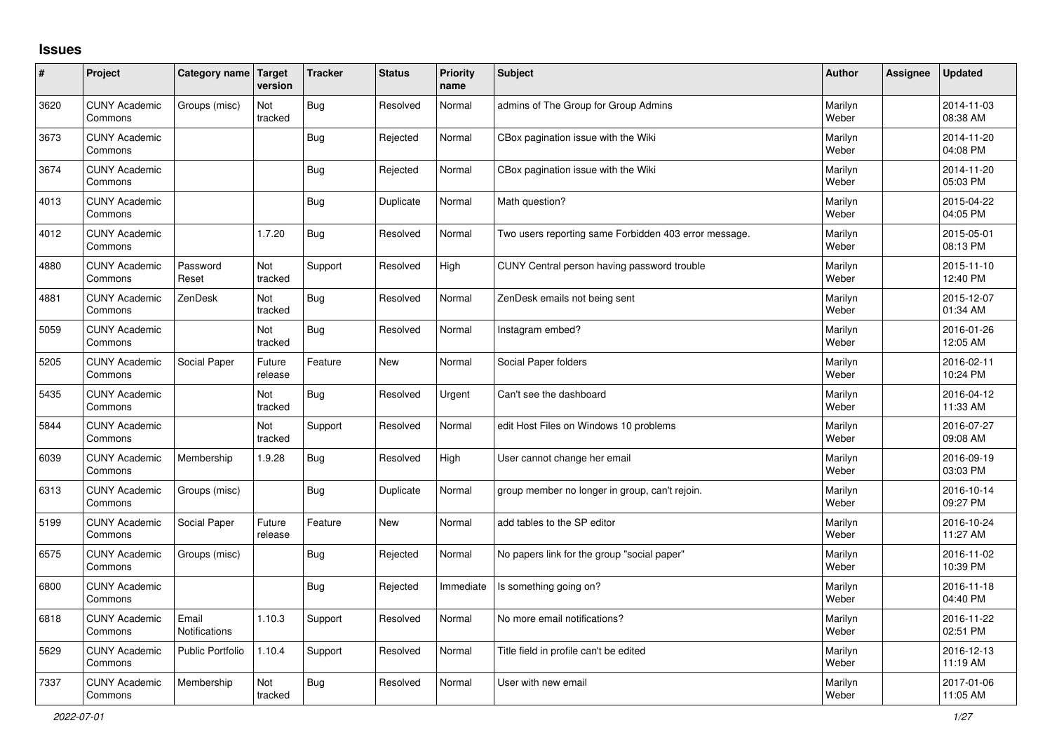## **Issues**

| ∦    | Project                         | Category name Target    | version           | <b>Tracker</b> | <b>Status</b> | <b>Priority</b><br>name | <b>Subject</b>                                        | <b>Author</b>    | <b>Assignee</b> | <b>Updated</b>         |
|------|---------------------------------|-------------------------|-------------------|----------------|---------------|-------------------------|-------------------------------------------------------|------------------|-----------------|------------------------|
| 3620 | <b>CUNY Academic</b><br>Commons | Groups (misc)           | Not<br>tracked    | Bug            | Resolved      | Normal                  | admins of The Group for Group Admins                  | Marilyn<br>Weber |                 | 2014-11-03<br>08:38 AM |
| 3673 | <b>CUNY Academic</b><br>Commons |                         |                   | Bug            | Rejected      | Normal                  | CBox pagination issue with the Wiki                   | Marilyn<br>Weber |                 | 2014-11-20<br>04:08 PM |
| 3674 | <b>CUNY Academic</b><br>Commons |                         |                   | Bug            | Rejected      | Normal                  | CBox pagination issue with the Wiki                   | Marilyn<br>Weber |                 | 2014-11-20<br>05:03 PM |
| 4013 | <b>CUNY Academic</b><br>Commons |                         |                   | <b>Bug</b>     | Duplicate     | Normal                  | Math question?                                        | Marilyn<br>Weber |                 | 2015-04-22<br>04:05 PM |
| 4012 | <b>CUNY Academic</b><br>Commons |                         | 1.7.20            | Bug            | Resolved      | Normal                  | Two users reporting same Forbidden 403 error message. | Marilyn<br>Weber |                 | 2015-05-01<br>08:13 PM |
| 4880 | <b>CUNY Academic</b><br>Commons | Password<br>Reset       | Not<br>tracked    | Support        | Resolved      | High                    | CUNY Central person having password trouble           | Marilyn<br>Weber |                 | 2015-11-10<br>12:40 PM |
| 4881 | <b>CUNY Academic</b><br>Commons | ZenDesk                 | Not<br>tracked    | Bug            | Resolved      | Normal                  | ZenDesk emails not being sent                         | Marilyn<br>Weber |                 | 2015-12-07<br>01:34 AM |
| 5059 | <b>CUNY Academic</b><br>Commons |                         | Not<br>tracked    | Bug            | Resolved      | Normal                  | Instagram embed?                                      | Marilyn<br>Weber |                 | 2016-01-26<br>12:05 AM |
| 5205 | <b>CUNY Academic</b><br>Commons | Social Paper            | Future<br>release | Feature        | <b>New</b>    | Normal                  | Social Paper folders                                  | Marilyn<br>Weber |                 | 2016-02-11<br>10:24 PM |
| 5435 | <b>CUNY Academic</b><br>Commons |                         | Not<br>tracked    | Bug            | Resolved      | Urgent                  | Can't see the dashboard                               | Marilyn<br>Weber |                 | 2016-04-12<br>11:33 AM |
| 5844 | <b>CUNY Academic</b><br>Commons |                         | Not<br>tracked    | Support        | Resolved      | Normal                  | edit Host Files on Windows 10 problems                | Marilyn<br>Weber |                 | 2016-07-27<br>09:08 AM |
| 6039 | <b>CUNY Academic</b><br>Commons | Membership              | 1.9.28            | Bug            | Resolved      | High                    | User cannot change her email                          | Marilyn<br>Weber |                 | 2016-09-19<br>03:03 PM |
| 6313 | <b>CUNY Academic</b><br>Commons | Groups (misc)           |                   | Bug            | Duplicate     | Normal                  | group member no longer in group, can't rejoin.        | Marilyn<br>Weber |                 | 2016-10-14<br>09:27 PM |
| 5199 | <b>CUNY Academic</b><br>Commons | Social Paper            | Future<br>release | Feature        | <b>New</b>    | Normal                  | add tables to the SP editor                           | Marilyn<br>Weber |                 | 2016-10-24<br>11:27 AM |
| 6575 | <b>CUNY Academic</b><br>Commons | Groups (misc)           |                   | Bug            | Rejected      | Normal                  | No papers link for the group "social paper"           | Marilyn<br>Weber |                 | 2016-11-02<br>10:39 PM |
| 6800 | <b>CUNY Academic</b><br>Commons |                         |                   | Bug            | Rejected      | Immediate               | Is something going on?                                | Marilyn<br>Weber |                 | 2016-11-18<br>04:40 PM |
| 6818 | <b>CUNY Academic</b><br>Commons | Email<br>Notifications  | 1.10.3            | Support        | Resolved      | Normal                  | No more email notifications?                          | Marilyn<br>Weber |                 | 2016-11-22<br>02:51 PM |
| 5629 | <b>CUNY Academic</b><br>Commons | <b>Public Portfolio</b> | 1.10.4            | Support        | Resolved      | Normal                  | Title field in profile can't be edited                | Marilyn<br>Weber |                 | 2016-12-13<br>11:19 AM |
| 7337 | <b>CUNY Academic</b><br>Commons | Membership              | Not<br>tracked    | Bug            | Resolved      | Normal                  | User with new email                                   | Marilyn<br>Weber |                 | 2017-01-06<br>11:05 AM |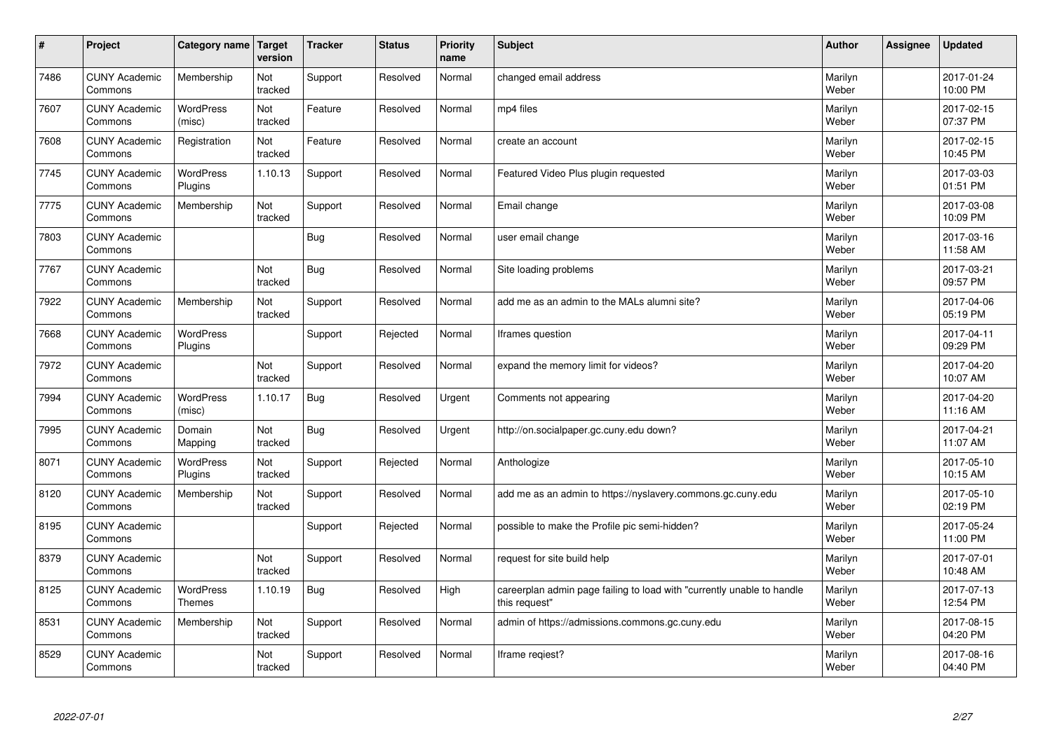| $\vert$ # | Project                         | Category name   Target      | version        | <b>Tracker</b> | <b>Status</b> | <b>Priority</b><br>name | <b>Subject</b>                                                                          | <b>Author</b>    | Assignee | <b>Updated</b>         |
|-----------|---------------------------------|-----------------------------|----------------|----------------|---------------|-------------------------|-----------------------------------------------------------------------------------------|------------------|----------|------------------------|
| 7486      | <b>CUNY Academic</b><br>Commons | Membership                  | Not<br>tracked | Support        | Resolved      | Normal                  | changed email address                                                                   | Marilyn<br>Weber |          | 2017-01-24<br>10:00 PM |
| 7607      | <b>CUNY Academic</b><br>Commons | <b>WordPress</b><br>(misc)  | Not<br>tracked | Feature        | Resolved      | Normal                  | mp4 files                                                                               | Marilyn<br>Weber |          | 2017-02-15<br>07:37 PM |
| 7608      | <b>CUNY Academic</b><br>Commons | Registration                | Not<br>tracked | Feature        | Resolved      | Normal                  | create an account                                                                       | Marilyn<br>Weber |          | 2017-02-15<br>10:45 PM |
| 7745      | <b>CUNY Academic</b><br>Commons | <b>WordPress</b><br>Plugins | 1.10.13        | Support        | Resolved      | Normal                  | Featured Video Plus plugin requested                                                    | Marilyn<br>Weber |          | 2017-03-03<br>01:51 PM |
| 7775      | <b>CUNY Academic</b><br>Commons | Membership                  | Not<br>tracked | Support        | Resolved      | Normal                  | Email change                                                                            | Marilyn<br>Weber |          | 2017-03-08<br>10:09 PM |
| 7803      | <b>CUNY Academic</b><br>Commons |                             |                | <b>Bug</b>     | Resolved      | Normal                  | user email change                                                                       | Marilyn<br>Weber |          | 2017-03-16<br>11:58 AM |
| 7767      | <b>CUNY Academic</b><br>Commons |                             | Not<br>tracked | <b>Bug</b>     | Resolved      | Normal                  | Site loading problems                                                                   | Marilyn<br>Weber |          | 2017-03-21<br>09:57 PM |
| 7922      | <b>CUNY Academic</b><br>Commons | Membership                  | Not<br>tracked | Support        | Resolved      | Normal                  | add me as an admin to the MALs alumni site?                                             | Marilyn<br>Weber |          | 2017-04-06<br>05:19 PM |
| 7668      | <b>CUNY Academic</b><br>Commons | <b>WordPress</b><br>Plugins |                | Support        | Rejected      | Normal                  | Iframes question                                                                        | Marilyn<br>Weber |          | 2017-04-11<br>09:29 PM |
| 7972      | <b>CUNY Academic</b><br>Commons |                             | Not<br>tracked | Support        | Resolved      | Normal                  | expand the memory limit for videos?                                                     | Marilyn<br>Weber |          | 2017-04-20<br>10:07 AM |
| 7994      | <b>CUNY Academic</b><br>Commons | WordPress<br>(misc)         | 1.10.17        | <b>Bug</b>     | Resolved      | Urgent                  | Comments not appearing                                                                  | Marilyn<br>Weber |          | 2017-04-20<br>11:16 AM |
| 7995      | <b>CUNY Academic</b><br>Commons | Domain<br>Mapping           | Not<br>tracked | Bug            | Resolved      | Urgent                  | http://on.socialpaper.gc.cuny.edu down?                                                 | Marilyn<br>Weber |          | 2017-04-21<br>11:07 AM |
| 8071      | <b>CUNY Academic</b><br>Commons | <b>WordPress</b><br>Plugins | Not<br>tracked | Support        | Rejected      | Normal                  | Anthologize                                                                             | Marilyn<br>Weber |          | 2017-05-10<br>10:15 AM |
| 8120      | <b>CUNY Academic</b><br>Commons | Membership                  | Not<br>tracked | Support        | Resolved      | Normal                  | add me as an admin to https://nyslavery.commons.gc.cuny.edu                             | Marilyn<br>Weber |          | 2017-05-10<br>02:19 PM |
| 8195      | <b>CUNY Academic</b><br>Commons |                             |                | Support        | Rejected      | Normal                  | possible to make the Profile pic semi-hidden?                                           | Marilyn<br>Weber |          | 2017-05-24<br>11:00 PM |
| 8379      | <b>CUNY Academic</b><br>Commons |                             | Not<br>tracked | Support        | Resolved      | Normal                  | request for site build help                                                             | Marilyn<br>Weber |          | 2017-07-01<br>10:48 AM |
| 8125      | <b>CUNY Academic</b><br>Commons | WordPress<br><b>Themes</b>  | 1.10.19        | Bug            | Resolved      | High                    | careerplan admin page failing to load with "currently unable to handle<br>this request" | Marilyn<br>Weber |          | 2017-07-13<br>12:54 PM |
| 8531      | <b>CUNY Academic</b><br>Commons | Membership                  | Not<br>tracked | Support        | Resolved      | Normal                  | admin of https://admissions.commons.gc.cuny.edu                                         | Marilyn<br>Weber |          | 2017-08-15<br>04:20 PM |
| 8529      | <b>CUNY Academic</b><br>Commons |                             | Not<br>tracked | Support        | Resolved      | Normal                  | Iframe regiest?                                                                         | Marilyn<br>Weber |          | 2017-08-16<br>04:40 PM |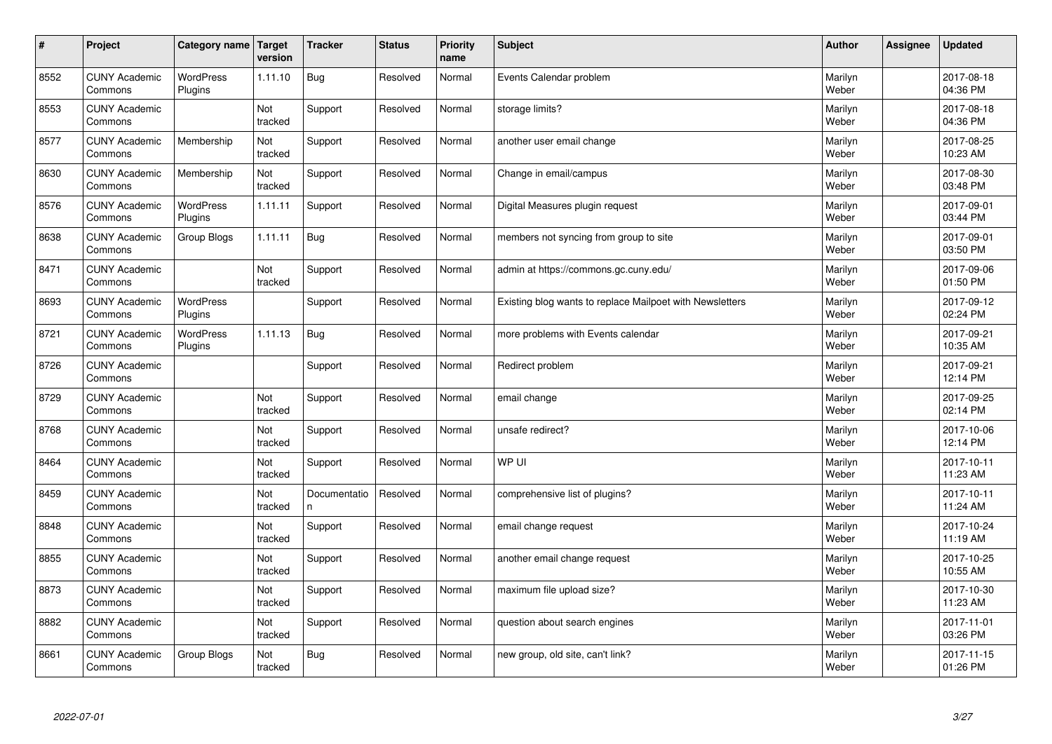| $\sharp$ | Project                         | Category name               | Target<br>version | <b>Tracker</b>     | <b>Status</b> | <b>Priority</b><br>name | <b>Subject</b>                                           | <b>Author</b>    | Assignee | <b>Updated</b>         |
|----------|---------------------------------|-----------------------------|-------------------|--------------------|---------------|-------------------------|----------------------------------------------------------|------------------|----------|------------------------|
| 8552     | <b>CUNY Academic</b><br>Commons | <b>WordPress</b><br>Plugins | 1.11.10           | Bug                | Resolved      | Normal                  | Events Calendar problem                                  | Marilyn<br>Weber |          | 2017-08-18<br>04:36 PM |
| 8553     | <b>CUNY Academic</b><br>Commons |                             | Not<br>tracked    | Support            | Resolved      | Normal                  | storage limits?                                          | Marilyn<br>Weber |          | 2017-08-18<br>04:36 PM |
| 8577     | <b>CUNY Academic</b><br>Commons | Membership                  | Not<br>tracked    | Support            | Resolved      | Normal                  | another user email change                                | Marilyn<br>Weber |          | 2017-08-25<br>10:23 AM |
| 8630     | <b>CUNY Academic</b><br>Commons | Membership                  | Not<br>tracked    | Support            | Resolved      | Normal                  | Change in email/campus                                   | Marilyn<br>Weber |          | 2017-08-30<br>03:48 PM |
| 8576     | <b>CUNY Academic</b><br>Commons | <b>WordPress</b><br>Plugins | 1.11.11           | Support            | Resolved      | Normal                  | Digital Measures plugin request                          | Marilyn<br>Weber |          | 2017-09-01<br>03:44 PM |
| 8638     | <b>CUNY Academic</b><br>Commons | Group Blogs                 | 1.11.11           | <b>Bug</b>         | Resolved      | Normal                  | members not syncing from group to site                   | Marilyn<br>Weber |          | 2017-09-01<br>03:50 PM |
| 8471     | <b>CUNY Academic</b><br>Commons |                             | Not<br>tracked    | Support            | Resolved      | Normal                  | admin at https://commons.gc.cuny.edu/                    | Marilyn<br>Weber |          | 2017-09-06<br>01:50 PM |
| 8693     | <b>CUNY Academic</b><br>Commons | <b>WordPress</b><br>Plugins |                   | Support            | Resolved      | Normal                  | Existing blog wants to replace Mailpoet with Newsletters | Marilyn<br>Weber |          | 2017-09-12<br>02:24 PM |
| 8721     | <b>CUNY Academic</b><br>Commons | <b>WordPress</b><br>Plugins | 1.11.13           | Bug                | Resolved      | Normal                  | more problems with Events calendar                       | Marilyn<br>Weber |          | 2017-09-21<br>10:35 AM |
| 8726     | <b>CUNY Academic</b><br>Commons |                             |                   | Support            | Resolved      | Normal                  | Redirect problem                                         | Marilyn<br>Weber |          | 2017-09-21<br>12:14 PM |
| 8729     | <b>CUNY Academic</b><br>Commons |                             | Not<br>tracked    | Support            | Resolved      | Normal                  | email change                                             | Marilyn<br>Weber |          | 2017-09-25<br>02:14 PM |
| 8768     | <b>CUNY Academic</b><br>Commons |                             | Not<br>tracked    | Support            | Resolved      | Normal                  | unsafe redirect?                                         | Marilyn<br>Weber |          | 2017-10-06<br>12:14 PM |
| 8464     | <b>CUNY Academic</b><br>Commons |                             | Not<br>tracked    | Support            | Resolved      | Normal                  | WP UI                                                    | Marilyn<br>Weber |          | 2017-10-11<br>11:23 AM |
| 8459     | <b>CUNY Academic</b><br>Commons |                             | Not<br>tracked    | Documentatio<br>n. | Resolved      | Normal                  | comprehensive list of plugins?                           | Marilyn<br>Weber |          | 2017-10-11<br>11:24 AM |
| 8848     | <b>CUNY Academic</b><br>Commons |                             | Not<br>tracked    | Support            | Resolved      | Normal                  | email change request                                     | Marilyn<br>Weber |          | 2017-10-24<br>11:19 AM |
| 8855     | <b>CUNY Academic</b><br>Commons |                             | Not<br>tracked    | Support            | Resolved      | Normal                  | another email change request                             | Marilyn<br>Weber |          | 2017-10-25<br>10:55 AM |
| 8873     | <b>CUNY Academic</b><br>Commons |                             | Not<br>tracked    | Support            | Resolved      | Normal                  | maximum file upload size?                                | Marilyn<br>Weber |          | 2017-10-30<br>11:23 AM |
| 8882     | <b>CUNY Academic</b><br>Commons |                             | Not<br>tracked    | Support            | Resolved      | Normal                  | question about search engines                            | Marilyn<br>Weber |          | 2017-11-01<br>03:26 PM |
| 8661     | <b>CUNY Academic</b><br>Commons | Group Blogs                 | Not<br>tracked    | Bug                | Resolved      | Normal                  | new group, old site, can't link?                         | Marilyn<br>Weber |          | 2017-11-15<br>01:26 PM |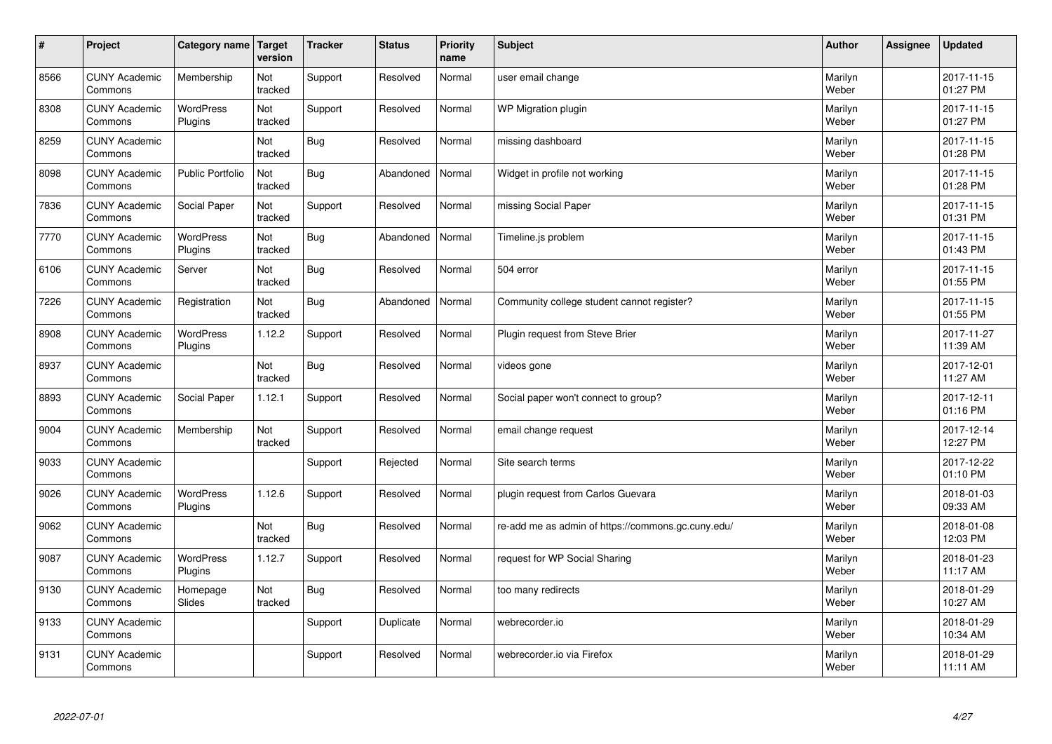| $\vert$ # | Project                         | Category name   Target | version        | <b>Tracker</b> | <b>Status</b> | <b>Priority</b><br>name | <b>Subject</b>                                     | <b>Author</b>    | Assignee | <b>Updated</b>         |
|-----------|---------------------------------|------------------------|----------------|----------------|---------------|-------------------------|----------------------------------------------------|------------------|----------|------------------------|
| 8566      | <b>CUNY Academic</b><br>Commons | Membership             | Not<br>tracked | Support        | Resolved      | Normal                  | user email change                                  | Marilyn<br>Weber |          | 2017-11-15<br>01:27 PM |
| 8308      | <b>CUNY Academic</b><br>Commons | WordPress<br>Plugins   | Not<br>tracked | Support        | Resolved      | Normal                  | <b>WP Migration plugin</b>                         | Marilyn<br>Weber |          | 2017-11-15<br>01:27 PM |
| 8259      | <b>CUNY Academic</b><br>Commons |                        | Not<br>tracked | <b>Bug</b>     | Resolved      | Normal                  | missing dashboard                                  | Marilyn<br>Weber |          | 2017-11-15<br>01:28 PM |
| 8098      | <b>CUNY Academic</b><br>Commons | Public Portfolio       | Not<br>tracked | <b>Bug</b>     | Abandoned     | Normal                  | Widget in profile not working                      | Marilyn<br>Weber |          | 2017-11-15<br>01:28 PM |
| 7836      | <b>CUNY Academic</b><br>Commons | Social Paper           | Not<br>tracked | Support        | Resolved      | Normal                  | missing Social Paper                               | Marilyn<br>Weber |          | 2017-11-15<br>01:31 PM |
| 7770      | <b>CUNY Academic</b><br>Commons | WordPress<br>Plugins   | Not<br>tracked | <b>Bug</b>     | Abandoned     | Normal                  | Timeline.js problem                                | Marilyn<br>Weber |          | 2017-11-15<br>01:43 PM |
| 6106      | <b>CUNY Academic</b><br>Commons | Server                 | Not<br>tracked | <b>Bug</b>     | Resolved      | Normal                  | 504 error                                          | Marilyn<br>Weber |          | 2017-11-15<br>01:55 PM |
| 7226      | <b>CUNY Academic</b><br>Commons | Registration           | Not<br>tracked | Bug            | Abandoned     | Normal                  | Community college student cannot register?         | Marilyn<br>Weber |          | 2017-11-15<br>01:55 PM |
| 8908      | <b>CUNY Academic</b><br>Commons | WordPress<br>Plugins   | 1.12.2         | Support        | Resolved      | Normal                  | Plugin request from Steve Brier                    | Marilyn<br>Weber |          | 2017-11-27<br>11:39 AM |
| 8937      | <b>CUNY Academic</b><br>Commons |                        | Not<br>tracked | <b>Bug</b>     | Resolved      | Normal                  | videos gone                                        | Marilyn<br>Weber |          | 2017-12-01<br>11:27 AM |
| 8893      | <b>CUNY Academic</b><br>Commons | Social Paper           | 1.12.1         | Support        | Resolved      | Normal                  | Social paper won't connect to group?               | Marilyn<br>Weber |          | 2017-12-11<br>01:16 PM |
| 9004      | <b>CUNY Academic</b><br>Commons | Membership             | Not<br>tracked | Support        | Resolved      | Normal                  | email change request                               | Marilyn<br>Weber |          | 2017-12-14<br>12:27 PM |
| 9033      | <b>CUNY Academic</b><br>Commons |                        |                | Support        | Rejected      | Normal                  | Site search terms                                  | Marilyn<br>Weber |          | 2017-12-22<br>01:10 PM |
| 9026      | <b>CUNY Academic</b><br>Commons | WordPress<br>Plugins   | 1.12.6         | Support        | Resolved      | Normal                  | plugin request from Carlos Guevara                 | Marilyn<br>Weber |          | 2018-01-03<br>09:33 AM |
| 9062      | <b>CUNY Academic</b><br>Commons |                        | Not<br>tracked | Bug            | Resolved      | Normal                  | re-add me as admin of https://commons.gc.cuny.edu/ | Marilyn<br>Weber |          | 2018-01-08<br>12:03 PM |
| 9087      | <b>CUNY Academic</b><br>Commons | WordPress<br>Plugins   | 1.12.7         | Support        | Resolved      | Normal                  | request for WP Social Sharing                      | Marilyn<br>Weber |          | 2018-01-23<br>11:17 AM |
| 9130      | <b>CUNY Academic</b><br>Commons | Homepage<br>Slides     | Not<br>tracked | <b>Bug</b>     | Resolved      | Normal                  | too many redirects                                 | Marilyn<br>Weber |          | 2018-01-29<br>10:27 AM |
| 9133      | <b>CUNY Academic</b><br>Commons |                        |                | Support        | Duplicate     | Normal                  | webrecorder.io                                     | Marilyn<br>Weber |          | 2018-01-29<br>10:34 AM |
| 9131      | <b>CUNY Academic</b><br>Commons |                        |                | Support        | Resolved      | Normal                  | webrecorder.io via Firefox                         | Marilyn<br>Weber |          | 2018-01-29<br>11:11 AM |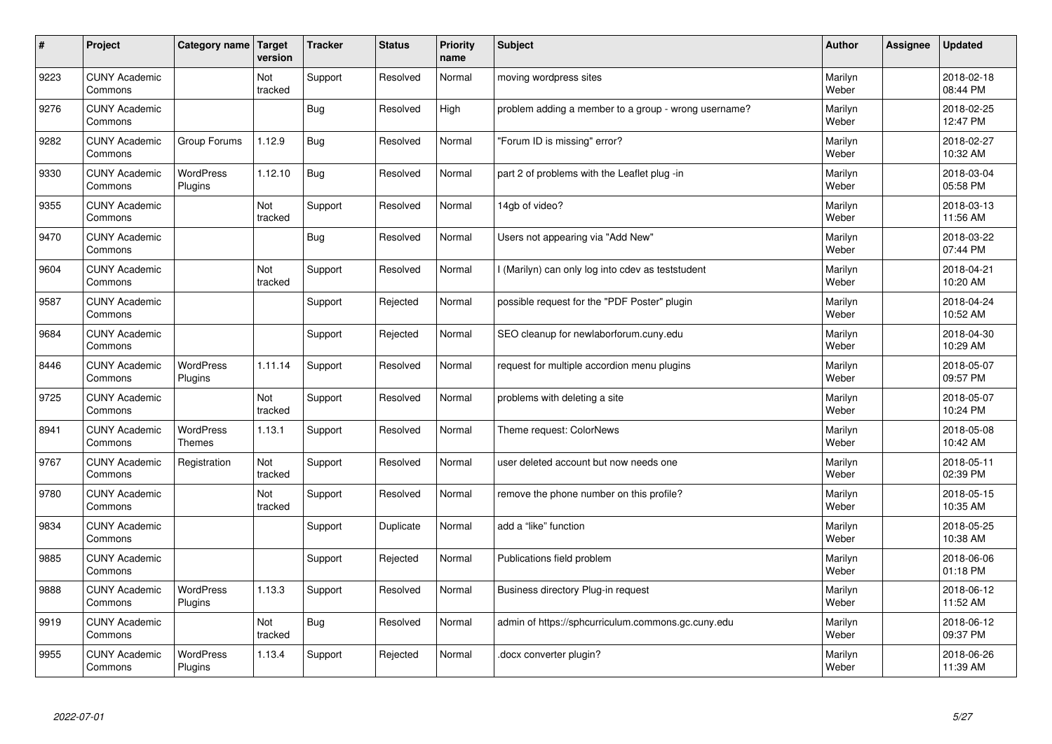| $\sharp$ | Project                         | Category name   Target            | version        | <b>Tracker</b> | <b>Status</b> | <b>Priority</b><br>name | <b>Subject</b>                                       | <b>Author</b>    | <b>Assignee</b> | <b>Updated</b>         |
|----------|---------------------------------|-----------------------------------|----------------|----------------|---------------|-------------------------|------------------------------------------------------|------------------|-----------------|------------------------|
| 9223     | <b>CUNY Academic</b><br>Commons |                                   | Not<br>tracked | Support        | Resolved      | Normal                  | moving wordpress sites                               | Marilyn<br>Weber |                 | 2018-02-18<br>08:44 PM |
| 9276     | <b>CUNY Academic</b><br>Commons |                                   |                | <b>Bug</b>     | Resolved      | High                    | problem adding a member to a group - wrong username? | Marilyn<br>Weber |                 | 2018-02-25<br>12:47 PM |
| 9282     | <b>CUNY Academic</b><br>Commons | Group Forums                      | 1.12.9         | <b>Bug</b>     | Resolved      | Normal                  | 'Forum ID is missing" error?                         | Marilyn<br>Weber |                 | 2018-02-27<br>10:32 AM |
| 9330     | <b>CUNY Academic</b><br>Commons | <b>WordPress</b><br>Plugins       | 1.12.10        | <b>Bug</b>     | Resolved      | Normal                  | part 2 of problems with the Leaflet plug -in         | Marilyn<br>Weber |                 | 2018-03-04<br>05:58 PM |
| 9355     | <b>CUNY Academic</b><br>Commons |                                   | Not<br>tracked | Support        | Resolved      | Normal                  | 14gb of video?                                       | Marilyn<br>Weber |                 | 2018-03-13<br>11:56 AM |
| 9470     | <b>CUNY Academic</b><br>Commons |                                   |                | <b>Bug</b>     | Resolved      | Normal                  | Users not appearing via "Add New"                    | Marilyn<br>Weber |                 | 2018-03-22<br>07:44 PM |
| 9604     | <b>CUNY Academic</b><br>Commons |                                   | Not<br>tracked | Support        | Resolved      | Normal                  | l (Marilyn) can only log into cdev as teststudent    | Marilyn<br>Weber |                 | 2018-04-21<br>10:20 AM |
| 9587     | <b>CUNY Academic</b><br>Commons |                                   |                | Support        | Rejected      | Normal                  | possible request for the "PDF Poster" plugin         | Marilyn<br>Weber |                 | 2018-04-24<br>10:52 AM |
| 9684     | <b>CUNY Academic</b><br>Commons |                                   |                | Support        | Rejected      | Normal                  | SEO cleanup for newlaborforum.cuny.edu               | Marilyn<br>Weber |                 | 2018-04-30<br>10:29 AM |
| 8446     | <b>CUNY Academic</b><br>Commons | <b>WordPress</b><br>Plugins       | 1.11.14        | Support        | Resolved      | Normal                  | request for multiple accordion menu plugins          | Marilyn<br>Weber |                 | 2018-05-07<br>09:57 PM |
| 9725     | <b>CUNY Academic</b><br>Commons |                                   | Not<br>tracked | Support        | Resolved      | Normal                  | problems with deleting a site                        | Marilyn<br>Weber |                 | 2018-05-07<br>10:24 PM |
| 8941     | <b>CUNY Academic</b><br>Commons | <b>WordPress</b><br><b>Themes</b> | 1.13.1         | Support        | Resolved      | Normal                  | Theme request: ColorNews                             | Marilyn<br>Weber |                 | 2018-05-08<br>10:42 AM |
| 9767     | <b>CUNY Academic</b><br>Commons | Registration                      | Not<br>tracked | Support        | Resolved      | Normal                  | user deleted account but now needs one               | Marilyn<br>Weber |                 | 2018-05-11<br>02:39 PM |
| 9780     | <b>CUNY Academic</b><br>Commons |                                   | Not<br>tracked | Support        | Resolved      | Normal                  | remove the phone number on this profile?             | Marilyn<br>Weber |                 | 2018-05-15<br>10:35 AM |
| 9834     | <b>CUNY Academic</b><br>Commons |                                   |                | Support        | Duplicate     | Normal                  | add a "like" function                                | Marilyn<br>Weber |                 | 2018-05-25<br>10:38 AM |
| 9885     | <b>CUNY Academic</b><br>Commons |                                   |                | Support        | Rejected      | Normal                  | Publications field problem                           | Marilyn<br>Weber |                 | 2018-06-06<br>01:18 PM |
| 9888     | <b>CUNY Academic</b><br>Commons | WordPress<br>Plugins              | 1.13.3         | Support        | Resolved      | Normal                  | Business directory Plug-in request                   | Marilyn<br>Weber |                 | 2018-06-12<br>11:52 AM |
| 9919     | <b>CUNY Academic</b><br>Commons |                                   | Not<br>tracked | <b>Bug</b>     | Resolved      | Normal                  | admin of https://sphcurriculum.commons.gc.cuny.edu   | Marilyn<br>Weber |                 | 2018-06-12<br>09:37 PM |
| 9955     | <b>CUNY Academic</b><br>Commons | <b>WordPress</b><br>Plugins       | 1.13.4         | Support        | Rejected      | Normal                  | docx converter plugin?                               | Marilyn<br>Weber |                 | 2018-06-26<br>11:39 AM |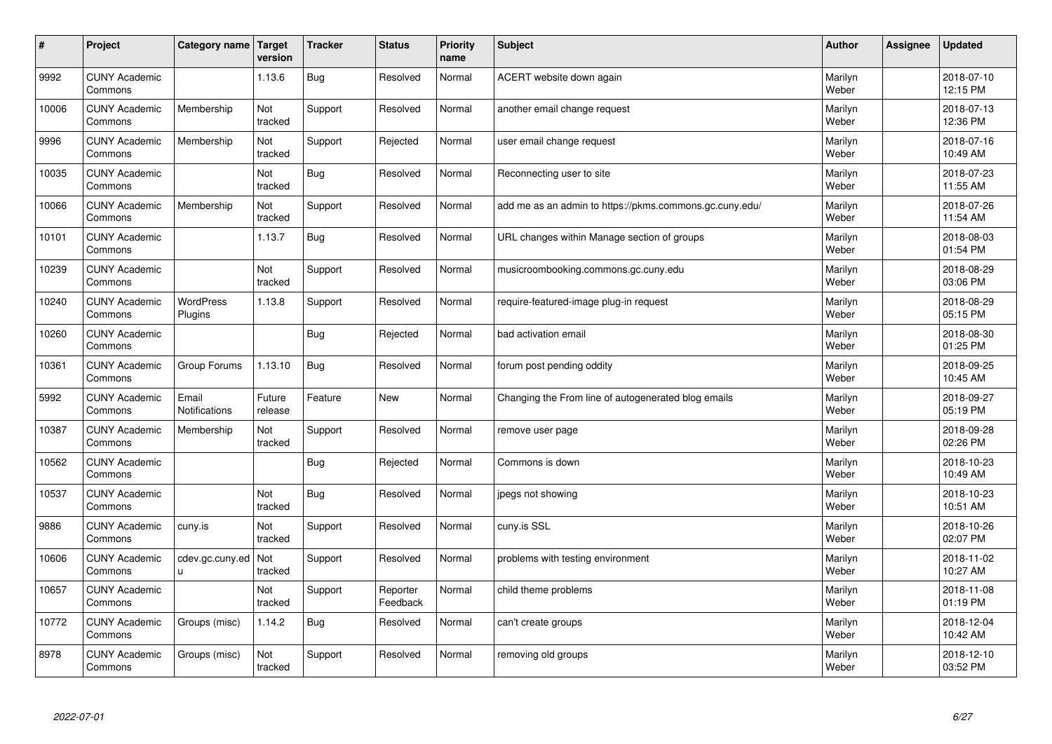| #     | Project                         | Category name   Target        | version           | <b>Tracker</b> | <b>Status</b>        | <b>Priority</b><br>name | <b>Subject</b>                                          | <b>Author</b>    | Assignee | <b>Updated</b>         |
|-------|---------------------------------|-------------------------------|-------------------|----------------|----------------------|-------------------------|---------------------------------------------------------|------------------|----------|------------------------|
| 9992  | <b>CUNY Academic</b><br>Commons |                               | 1.13.6            | <b>Bug</b>     | Resolved             | Normal                  | ACERT website down again                                | Marilyn<br>Weber |          | 2018-07-10<br>12:15 PM |
| 10006 | <b>CUNY Academic</b><br>Commons | Membership                    | Not<br>tracked    | Support        | Resolved             | Normal                  | another email change request                            | Marilyn<br>Weber |          | 2018-07-13<br>12:36 PM |
| 9996  | <b>CUNY Academic</b><br>Commons | Membership                    | Not<br>tracked    | Support        | Rejected             | Normal                  | user email change request                               | Marilyn<br>Weber |          | 2018-07-16<br>10:49 AM |
| 10035 | <b>CUNY Academic</b><br>Commons |                               | Not<br>tracked    | Bug            | Resolved             | Normal                  | Reconnecting user to site                               | Marilyn<br>Weber |          | 2018-07-23<br>11:55 AM |
| 10066 | <b>CUNY Academic</b><br>Commons | Membership                    | Not<br>tracked    | Support        | Resolved             | Normal                  | add me as an admin to https://pkms.commons.gc.cuny.edu/ | Marilyn<br>Weber |          | 2018-07-26<br>11:54 AM |
| 10101 | <b>CUNY Academic</b><br>Commons |                               | 1.13.7            | <b>Bug</b>     | Resolved             | Normal                  | URL changes within Manage section of groups             | Marilyn<br>Weber |          | 2018-08-03<br>01:54 PM |
| 10239 | <b>CUNY Academic</b><br>Commons |                               | Not<br>tracked    | Support        | Resolved             | Normal                  | musicroombooking.commons.gc.cuny.edu                    | Marilyn<br>Weber |          | 2018-08-29<br>03:06 PM |
| 10240 | <b>CUNY Academic</b><br>Commons | WordPress<br>Plugins          | 1.13.8            | Support        | Resolved             | Normal                  | require-featured-image plug-in request                  | Marilyn<br>Weber |          | 2018-08-29<br>05:15 PM |
| 10260 | <b>CUNY Academic</b><br>Commons |                               |                   | <b>Bug</b>     | Rejected             | Normal                  | bad activation email                                    | Marilyn<br>Weber |          | 2018-08-30<br>01:25 PM |
| 10361 | <b>CUNY Academic</b><br>Commons | Group Forums                  | 1.13.10           | Bug            | Resolved             | Normal                  | forum post pending oddity                               | Marilyn<br>Weber |          | 2018-09-25<br>10:45 AM |
| 5992  | <b>CUNY Academic</b><br>Commons | Email<br><b>Notifications</b> | Future<br>release | Feature        | <b>New</b>           | Normal                  | Changing the From line of autogenerated blog emails     | Marilyn<br>Weber |          | 2018-09-27<br>05:19 PM |
| 10387 | <b>CUNY Academic</b><br>Commons | Membership                    | Not<br>tracked    | Support        | Resolved             | Normal                  | remove user page                                        | Marilyn<br>Weber |          | 2018-09-28<br>02:26 PM |
| 10562 | <b>CUNY Academic</b><br>Commons |                               |                   | Bug            | Rejected             | Normal                  | Commons is down                                         | Marilyn<br>Weber |          | 2018-10-23<br>10:49 AM |
| 10537 | <b>CUNY Academic</b><br>Commons |                               | Not<br>tracked    | Bug            | Resolved             | Normal                  | jpegs not showing                                       | Marilyn<br>Weber |          | 2018-10-23<br>10:51 AM |
| 9886  | <b>CUNY Academic</b><br>Commons | cuny.is                       | Not<br>tracked    | Support        | Resolved             | Normal                  | cuny.is SSL                                             | Marilyn<br>Weber |          | 2018-10-26<br>02:07 PM |
| 10606 | <b>CUNY Academic</b><br>Commons | cdev.gc.cuny.ed<br>ū.         | Not<br>tracked    | Support        | Resolved             | Normal                  | problems with testing environment                       | Marilyn<br>Weber |          | 2018-11-02<br>10:27 AM |
| 10657 | <b>CUNY Academic</b><br>Commons |                               | Not<br>tracked    | Support        | Reporter<br>Feedback | Normal                  | child theme problems                                    | Marilyn<br>Weber |          | 2018-11-08<br>01:19 PM |
| 10772 | <b>CUNY Academic</b><br>Commons | Groups (misc)                 | 1.14.2            | <b>Bug</b>     | Resolved             | Normal                  | can't create groups                                     | Marilyn<br>Weber |          | 2018-12-04<br>10:42 AM |
| 8978  | <b>CUNY Academic</b><br>Commons | Groups (misc)                 | Not<br>tracked    | Support        | Resolved             | Normal                  | removing old groups                                     | Marilyn<br>Weber |          | 2018-12-10<br>03:52 PM |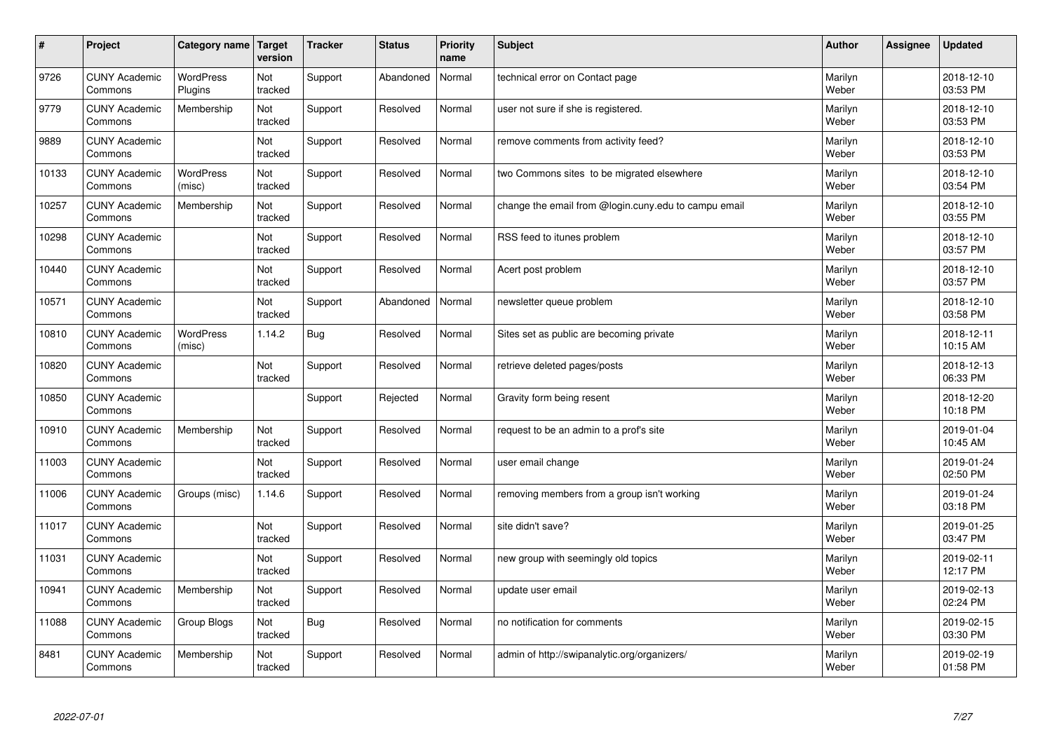| $\vert$ # | Project                         | Category name               | Target<br>version | <b>Tracker</b> | <b>Status</b> | <b>Priority</b><br>name | <b>Subject</b>                                       | <b>Author</b>    | Assignee | <b>Updated</b>         |
|-----------|---------------------------------|-----------------------------|-------------------|----------------|---------------|-------------------------|------------------------------------------------------|------------------|----------|------------------------|
| 9726      | <b>CUNY Academic</b><br>Commons | <b>WordPress</b><br>Plugins | Not<br>tracked    | Support        | Abandoned     | Normal                  | technical error on Contact page                      | Marilyn<br>Weber |          | 2018-12-10<br>03:53 PM |
| 9779      | <b>CUNY Academic</b><br>Commons | Membership                  | Not<br>tracked    | Support        | Resolved      | Normal                  | user not sure if she is registered.                  | Marilyn<br>Weber |          | 2018-12-10<br>03:53 PM |
| 9889      | <b>CUNY Academic</b><br>Commons |                             | Not<br>tracked    | Support        | Resolved      | Normal                  | remove comments from activity feed?                  | Marilyn<br>Weber |          | 2018-12-10<br>03:53 PM |
| 10133     | <b>CUNY Academic</b><br>Commons | <b>WordPress</b><br>(misc)  | Not<br>tracked    | Support        | Resolved      | Normal                  | two Commons sites to be migrated elsewhere           | Marilyn<br>Weber |          | 2018-12-10<br>03:54 PM |
| 10257     | <b>CUNY Academic</b><br>Commons | Membership                  | Not<br>tracked    | Support        | Resolved      | Normal                  | change the email from @login.cuny.edu to campu email | Marilyn<br>Weber |          | 2018-12-10<br>03:55 PM |
| 10298     | <b>CUNY Academic</b><br>Commons |                             | Not<br>tracked    | Support        | Resolved      | Normal                  | RSS feed to itunes problem                           | Marilyn<br>Weber |          | 2018-12-10<br>03:57 PM |
| 10440     | <b>CUNY Academic</b><br>Commons |                             | Not<br>tracked    | Support        | Resolved      | Normal                  | Acert post problem                                   | Marilyn<br>Weber |          | 2018-12-10<br>03:57 PM |
| 10571     | <b>CUNY Academic</b><br>Commons |                             | Not<br>tracked    | Support        | Abandoned     | Normal                  | newsletter queue problem                             | Marilyn<br>Weber |          | 2018-12-10<br>03:58 PM |
| 10810     | <b>CUNY Academic</b><br>Commons | <b>WordPress</b><br>(misc)  | 1.14.2            | Bug            | Resolved      | Normal                  | Sites set as public are becoming private             | Marilyn<br>Weber |          | 2018-12-11<br>10:15 AM |
| 10820     | <b>CUNY Academic</b><br>Commons |                             | Not<br>tracked    | Support        | Resolved      | Normal                  | retrieve deleted pages/posts                         | Marilyn<br>Weber |          | 2018-12-13<br>06:33 PM |
| 10850     | <b>CUNY Academic</b><br>Commons |                             |                   | Support        | Rejected      | Normal                  | Gravity form being resent                            | Marilyn<br>Weber |          | 2018-12-20<br>10:18 PM |
| 10910     | <b>CUNY Academic</b><br>Commons | Membership                  | Not<br>tracked    | Support        | Resolved      | Normal                  | request to be an admin to a prof's site              | Marilyn<br>Weber |          | 2019-01-04<br>10:45 AM |
| 11003     | <b>CUNY Academic</b><br>Commons |                             | Not<br>tracked    | Support        | Resolved      | Normal                  | user email change                                    | Marilyn<br>Weber |          | 2019-01-24<br>02:50 PM |
| 11006     | <b>CUNY Academic</b><br>Commons | Groups (misc)               | 1.14.6            | Support        | Resolved      | Normal                  | removing members from a group isn't working          | Marilyn<br>Weber |          | 2019-01-24<br>03:18 PM |
| 11017     | <b>CUNY Academic</b><br>Commons |                             | Not<br>tracked    | Support        | Resolved      | Normal                  | site didn't save?                                    | Marilyn<br>Weber |          | 2019-01-25<br>03:47 PM |
| 11031     | <b>CUNY Academic</b><br>Commons |                             | Not<br>tracked    | Support        | Resolved      | Normal                  | new group with seemingly old topics                  | Marilyn<br>Weber |          | 2019-02-11<br>12:17 PM |
| 10941     | <b>CUNY Academic</b><br>Commons | Membership                  | Not<br>tracked    | Support        | Resolved      | Normal                  | update user email                                    | Marilyn<br>Weber |          | 2019-02-13<br>02:24 PM |
| 11088     | <b>CUNY Academic</b><br>Commons | Group Blogs                 | Not<br>tracked    | Bug            | Resolved      | Normal                  | no notification for comments                         | Marilyn<br>Weber |          | 2019-02-15<br>03:30 PM |
| 8481      | <b>CUNY Academic</b><br>Commons | Membership                  | Not<br>tracked    | Support        | Resolved      | Normal                  | admin of http://swipanalytic.org/organizers/         | Marilyn<br>Weber |          | 2019-02-19<br>01:58 PM |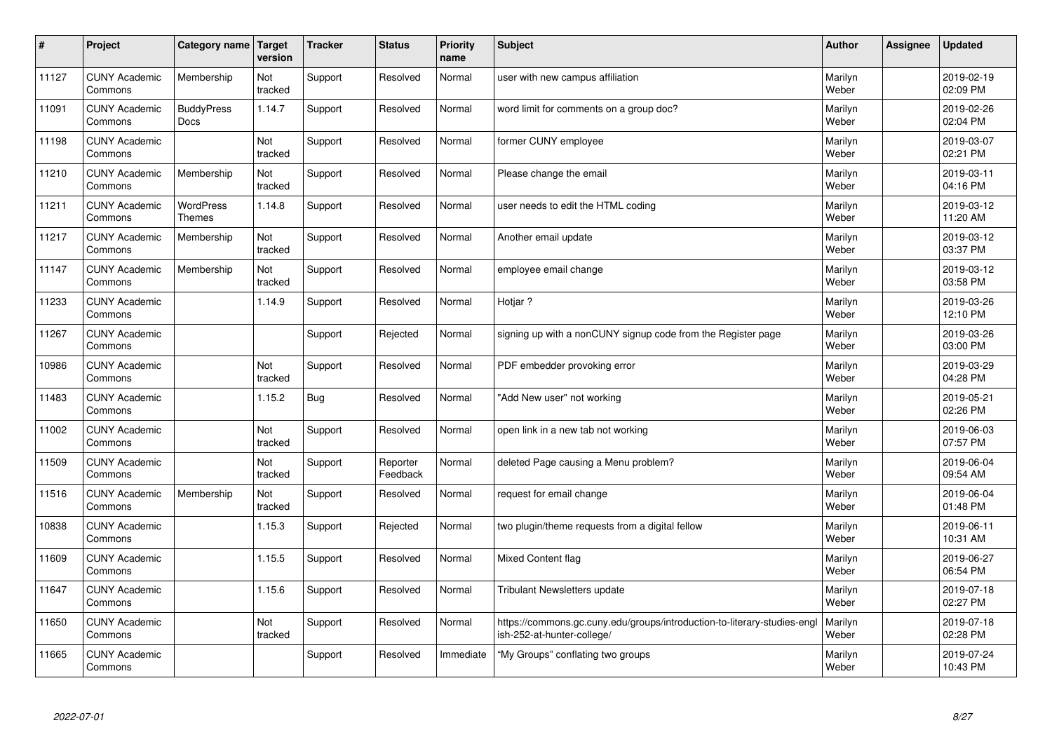| $\sharp$ | Project                         | Category name                     | Target<br>version | <b>Tracker</b> | <b>Status</b>        | <b>Priority</b><br>name | <b>Subject</b>                                                                                         | <b>Author</b>    | Assignee | <b>Updated</b>         |
|----------|---------------------------------|-----------------------------------|-------------------|----------------|----------------------|-------------------------|--------------------------------------------------------------------------------------------------------|------------------|----------|------------------------|
| 11127    | <b>CUNY Academic</b><br>Commons | Membership                        | Not<br>tracked    | Support        | Resolved             | Normal                  | user with new campus affiliation                                                                       | Marilyn<br>Weber |          | 2019-02-19<br>02:09 PM |
| 11091    | <b>CUNY Academic</b><br>Commons | <b>BuddyPress</b><br><b>Docs</b>  | 1.14.7            | Support        | Resolved             | Normal                  | word limit for comments on a group doc?                                                                | Marilyn<br>Weber |          | 2019-02-26<br>02:04 PM |
| 11198    | <b>CUNY Academic</b><br>Commons |                                   | Not<br>tracked    | Support        | Resolved             | Normal                  | former CUNY employee                                                                                   | Marilyn<br>Weber |          | 2019-03-07<br>02:21 PM |
| 11210    | <b>CUNY Academic</b><br>Commons | Membership                        | Not<br>tracked    | Support        | Resolved             | Normal                  | Please change the email                                                                                | Marilyn<br>Weber |          | 2019-03-11<br>04:16 PM |
| 11211    | <b>CUNY Academic</b><br>Commons | <b>WordPress</b><br><b>Themes</b> | 1.14.8            | Support        | Resolved             | Normal                  | user needs to edit the HTML coding                                                                     | Marilyn<br>Weber |          | 2019-03-12<br>11:20 AM |
| 11217    | <b>CUNY Academic</b><br>Commons | Membership                        | Not<br>tracked    | Support        | Resolved             | Normal                  | Another email update                                                                                   | Marilyn<br>Weber |          | 2019-03-12<br>03:37 PM |
| 11147    | <b>CUNY Academic</b><br>Commons | Membership                        | Not<br>tracked    | Support        | Resolved             | Normal                  | employee email change                                                                                  | Marilyn<br>Weber |          | 2019-03-12<br>03:58 PM |
| 11233    | <b>CUNY Academic</b><br>Commons |                                   | 1.14.9            | Support        | Resolved             | Normal                  | Hotiar?                                                                                                | Marilyn<br>Weber |          | 2019-03-26<br>12:10 PM |
| 11267    | <b>CUNY Academic</b><br>Commons |                                   |                   | Support        | Rejected             | Normal                  | signing up with a nonCUNY signup code from the Register page                                           | Marilyn<br>Weber |          | 2019-03-26<br>03:00 PM |
| 10986    | <b>CUNY Academic</b><br>Commons |                                   | Not<br>tracked    | Support        | Resolved             | Normal                  | PDF embedder provoking error                                                                           | Marilyn<br>Weber |          | 2019-03-29<br>04:28 PM |
| 11483    | <b>CUNY Academic</b><br>Commons |                                   | 1.15.2            | <b>Bug</b>     | Resolved             | Normal                  | "Add New user" not working                                                                             | Marilyn<br>Weber |          | 2019-05-21<br>02:26 PM |
| 11002    | <b>CUNY Academic</b><br>Commons |                                   | Not<br>tracked    | Support        | Resolved             | Normal                  | open link in a new tab not working                                                                     | Marilyn<br>Weber |          | 2019-06-03<br>07:57 PM |
| 11509    | <b>CUNY Academic</b><br>Commons |                                   | Not<br>tracked    | Support        | Reporter<br>Feedback | Normal                  | deleted Page causing a Menu problem?                                                                   | Marilyn<br>Weber |          | 2019-06-04<br>09:54 AM |
| 11516    | <b>CUNY Academic</b><br>Commons | Membership                        | Not<br>tracked    | Support        | Resolved             | Normal                  | request for email change                                                                               | Marilyn<br>Weber |          | 2019-06-04<br>01:48 PM |
| 10838    | <b>CUNY Academic</b><br>Commons |                                   | 1.15.3            | Support        | Rejected             | Normal                  | two plugin/theme requests from a digital fellow                                                        | Marilyn<br>Weber |          | 2019-06-11<br>10:31 AM |
| 11609    | <b>CUNY Academic</b><br>Commons |                                   | 1.15.5            | Support        | Resolved             | Normal                  | <b>Mixed Content flag</b>                                                                              | Marilyn<br>Weber |          | 2019-06-27<br>06:54 PM |
| 11647    | <b>CUNY Academic</b><br>Commons |                                   | 1.15.6            | Support        | Resolved             | Normal                  | Tribulant Newsletters update                                                                           | Marilyn<br>Weber |          | 2019-07-18<br>02:27 PM |
| 11650    | <b>CUNY Academic</b><br>Commons |                                   | Not<br>tracked    | Support        | Resolved             | Normal                  | https://commons.gc.cuny.edu/groups/introduction-to-literary-studies-engl<br>ish-252-at-hunter-college/ | Marilyn<br>Weber |          | 2019-07-18<br>02:28 PM |
| 11665    | <b>CUNY Academic</b><br>Commons |                                   |                   | Support        | Resolved             | Immediate               | "My Groups" conflating two groups                                                                      | Marilyn<br>Weber |          | 2019-07-24<br>10:43 PM |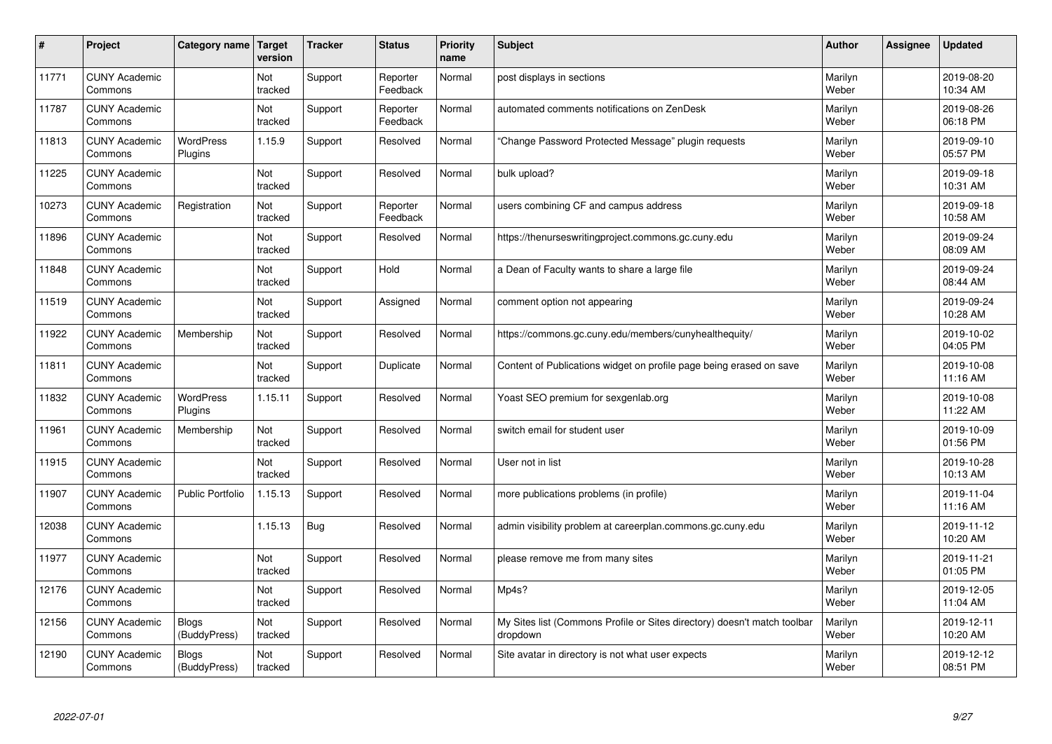| $\sharp$ | Project                         | Category name                | Target<br>version     | <b>Tracker</b> | <b>Status</b>        | <b>Priority</b><br>name | <b>Subject</b>                                                                       | <b>Author</b>    | Assignee | <b>Updated</b>         |
|----------|---------------------------------|------------------------------|-----------------------|----------------|----------------------|-------------------------|--------------------------------------------------------------------------------------|------------------|----------|------------------------|
| 11771    | <b>CUNY Academic</b><br>Commons |                              | Not<br>tracked        | Support        | Reporter<br>Feedback | Normal                  | post displays in sections                                                            | Marilyn<br>Weber |          | 2019-08-20<br>10:34 AM |
| 11787    | <b>CUNY Academic</b><br>Commons |                              | Not<br>tracked        | Support        | Reporter<br>Feedback | Normal                  | automated comments notifications on ZenDesk                                          | Marilyn<br>Weber |          | 2019-08-26<br>06:18 PM |
| 11813    | <b>CUNY Academic</b><br>Commons | <b>WordPress</b><br>Plugins  | 1.15.9                | Support        | Resolved             | Normal                  | "Change Password Protected Message" plugin requests                                  | Marilyn<br>Weber |          | 2019-09-10<br>05:57 PM |
| 11225    | <b>CUNY Academic</b><br>Commons |                              | <b>Not</b><br>tracked | Support        | Resolved             | Normal                  | bulk upload?                                                                         | Marilyn<br>Weber |          | 2019-09-18<br>10:31 AM |
| 10273    | <b>CUNY Academic</b><br>Commons | Registration                 | Not<br>tracked        | Support        | Reporter<br>Feedback | Normal                  | users combining CF and campus address                                                | Marilyn<br>Weber |          | 2019-09-18<br>10:58 AM |
| 11896    | <b>CUNY Academic</b><br>Commons |                              | Not<br>tracked        | Support        | Resolved             | Normal                  | https://thenurseswritingproject.commons.gc.cuny.edu                                  | Marilyn<br>Weber |          | 2019-09-24<br>08:09 AM |
| 11848    | <b>CUNY Academic</b><br>Commons |                              | Not<br>tracked        | Support        | Hold                 | Normal                  | a Dean of Faculty wants to share a large file                                        | Marilyn<br>Weber |          | 2019-09-24<br>08:44 AM |
| 11519    | <b>CUNY Academic</b><br>Commons |                              | Not<br>tracked        | Support        | Assigned             | Normal                  | comment option not appearing                                                         | Marilyn<br>Weber |          | 2019-09-24<br>10:28 AM |
| 11922    | <b>CUNY Academic</b><br>Commons | Membership                   | Not<br>tracked        | Support        | Resolved             | Normal                  | https://commons.gc.cuny.edu/members/cunyhealthequity/                                | Marilyn<br>Weber |          | 2019-10-02<br>04:05 PM |
| 11811    | <b>CUNY Academic</b><br>Commons |                              | Not<br>tracked        | Support        | Duplicate            | Normal                  | Content of Publications widget on profile page being erased on save                  | Marilyn<br>Weber |          | 2019-10-08<br>11:16 AM |
| 11832    | <b>CUNY Academic</b><br>Commons | <b>WordPress</b><br>Plugins  | 1.15.11               | Support        | Resolved             | Normal                  | Yoast SEO premium for sexgenlab.org                                                  | Marilyn<br>Weber |          | 2019-10-08<br>11:22 AM |
| 11961    | <b>CUNY Academic</b><br>Commons | Membership                   | Not<br>tracked        | Support        | Resolved             | Normal                  | switch email for student user                                                        | Marilyn<br>Weber |          | 2019-10-09<br>01:56 PM |
| 11915    | <b>CUNY Academic</b><br>Commons |                              | Not<br>tracked        | Support        | Resolved             | Normal                  | User not in list                                                                     | Marilyn<br>Weber |          | 2019-10-28<br>10:13 AM |
| 11907    | <b>CUNY Academic</b><br>Commons | Public Portfolio             | 1.15.13               | Support        | Resolved             | Normal                  | more publications problems (in profile)                                              | Marilyn<br>Weber |          | 2019-11-04<br>11:16 AM |
| 12038    | <b>CUNY Academic</b><br>Commons |                              | 1.15.13               | Bug            | Resolved             | Normal                  | admin visibility problem at careerplan.commons.gc.cuny.edu                           | Marilyn<br>Weber |          | 2019-11-12<br>10:20 AM |
| 11977    | <b>CUNY Academic</b><br>Commons |                              | Not<br>tracked        | Support        | Resolved             | Normal                  | please remove me from many sites                                                     | Marilyn<br>Weber |          | 2019-11-21<br>01:05 PM |
| 12176    | <b>CUNY Academic</b><br>Commons |                              | Not<br>tracked        | Support        | Resolved             | Normal                  | Mp4s?                                                                                | Marilyn<br>Weber |          | 2019-12-05<br>11:04 AM |
| 12156    | <b>CUNY Academic</b><br>Commons | <b>Blogs</b><br>(BuddyPress) | Not<br>tracked        | Support        | Resolved             | Normal                  | My Sites list (Commons Profile or Sites directory) doesn't match toolbar<br>dropdown | Marilyn<br>Weber |          | 2019-12-11<br>10:20 AM |
| 12190    | <b>CUNY Academic</b><br>Commons | <b>Blogs</b><br>(BuddyPress) | Not<br>tracked        | Support        | Resolved             | Normal                  | Site avatar in directory is not what user expects                                    | Marilyn<br>Weber |          | 2019-12-12<br>08:51 PM |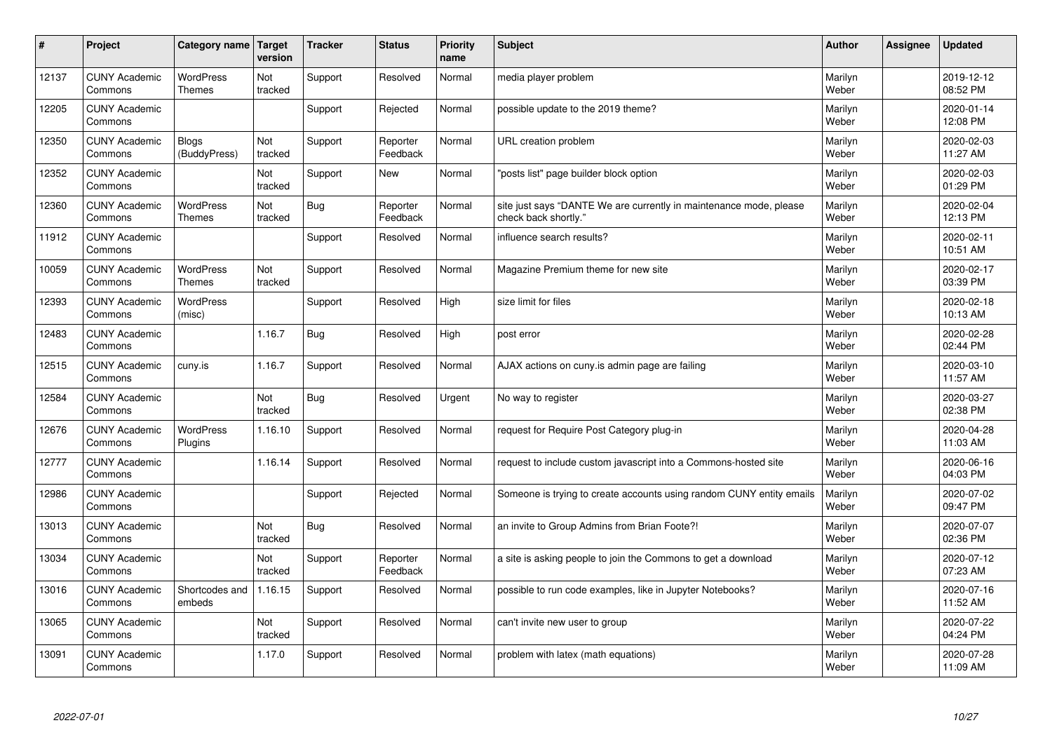| $\sharp$ | Project                         | Category name                     | Target<br>version | <b>Tracker</b> | <b>Status</b>        | <b>Priority</b><br>name | <b>Subject</b>                                                                             | <b>Author</b>    | <b>Assignee</b> | <b>Updated</b>         |
|----------|---------------------------------|-----------------------------------|-------------------|----------------|----------------------|-------------------------|--------------------------------------------------------------------------------------------|------------------|-----------------|------------------------|
| 12137    | <b>CUNY Academic</b><br>Commons | <b>WordPress</b><br><b>Themes</b> | Not<br>tracked    | Support        | Resolved             | Normal                  | media player problem                                                                       | Marilyn<br>Weber |                 | 2019-12-12<br>08:52 PM |
| 12205    | <b>CUNY Academic</b><br>Commons |                                   |                   | Support        | Rejected             | Normal                  | possible update to the 2019 theme?                                                         | Marilyn<br>Weber |                 | 2020-01-14<br>12:08 PM |
| 12350    | <b>CUNY Academic</b><br>Commons | <b>Blogs</b><br>(BuddyPress)      | Not<br>tracked    | Support        | Reporter<br>Feedback | Normal                  | URL creation problem                                                                       | Marilyn<br>Weber |                 | 2020-02-03<br>11:27 AM |
| 12352    | <b>CUNY Academic</b><br>Commons |                                   | Not<br>tracked    | Support        | <b>New</b>           | Normal                  | "posts list" page builder block option                                                     | Marilyn<br>Weber |                 | 2020-02-03<br>01:29 PM |
| 12360    | <b>CUNY Academic</b><br>Commons | <b>WordPress</b><br><b>Themes</b> | Not<br>tracked    | <b>Bug</b>     | Reporter<br>Feedback | Normal                  | site just says "DANTE We are currently in maintenance mode, please<br>check back shortly." | Marilyn<br>Weber |                 | 2020-02-04<br>12:13 PM |
| 11912    | <b>CUNY Academic</b><br>Commons |                                   |                   | Support        | Resolved             | Normal                  | influence search results?                                                                  | Marilyn<br>Weber |                 | 2020-02-11<br>10:51 AM |
| 10059    | <b>CUNY Academic</b><br>Commons | <b>WordPress</b><br><b>Themes</b> | Not<br>tracked    | Support        | Resolved             | Normal                  | Magazine Premium theme for new site                                                        | Marilyn<br>Weber |                 | 2020-02-17<br>03:39 PM |
| 12393    | <b>CUNY Academic</b><br>Commons | <b>WordPress</b><br>(misc)        |                   | Support        | Resolved             | High                    | size limit for files                                                                       | Marilyn<br>Weber |                 | 2020-02-18<br>10:13 AM |
| 12483    | <b>CUNY Academic</b><br>Commons |                                   | 1.16.7            | Bug            | Resolved             | High                    | post error                                                                                 | Marilyn<br>Weber |                 | 2020-02-28<br>02:44 PM |
| 12515    | <b>CUNY Academic</b><br>Commons | cuny.is                           | 1.16.7            | Support        | Resolved             | Normal                  | AJAX actions on cuny is admin page are failing                                             | Marilyn<br>Weber |                 | 2020-03-10<br>11:57 AM |
| 12584    | <b>CUNY Academic</b><br>Commons |                                   | Not<br>tracked    | Bug            | Resolved             | Urgent                  | No way to register                                                                         | Marilyn<br>Weber |                 | 2020-03-27<br>02:38 PM |
| 12676    | <b>CUNY Academic</b><br>Commons | <b>WordPress</b><br>Plugins       | 1.16.10           | Support        | Resolved             | Normal                  | request for Require Post Category plug-in                                                  | Marilyn<br>Weber |                 | 2020-04-28<br>11:03 AM |
| 12777    | <b>CUNY Academic</b><br>Commons |                                   | 1.16.14           | Support        | Resolved             | Normal                  | request to include custom javascript into a Commons-hosted site                            | Marilyn<br>Weber |                 | 2020-06-16<br>04:03 PM |
| 12986    | <b>CUNY Academic</b><br>Commons |                                   |                   | Support        | Rejected             | Normal                  | Someone is trying to create accounts using random CUNY entity emails                       | Marilyn<br>Weber |                 | 2020-07-02<br>09:47 PM |
| 13013    | <b>CUNY Academic</b><br>Commons |                                   | Not<br>tracked    | Bug            | Resolved             | Normal                  | an invite to Group Admins from Brian Foote?!                                               | Marilyn<br>Weber |                 | 2020-07-07<br>02:36 PM |
| 13034    | <b>CUNY Academic</b><br>Commons |                                   | Not<br>tracked    | Support        | Reporter<br>Feedback | Normal                  | a site is asking people to join the Commons to get a download                              | Marilyn<br>Weber |                 | 2020-07-12<br>07:23 AM |
| 13016    | <b>CUNY Academic</b><br>Commons | Shortcodes and<br>embeds          | 1.16.15           | Support        | Resolved             | Normal                  | possible to run code examples, like in Jupyter Notebooks?                                  | Marilyn<br>Weber |                 | 2020-07-16<br>11:52 AM |
| 13065    | <b>CUNY Academic</b><br>Commons |                                   | Not<br>tracked    | Support        | Resolved             | Normal                  | can't invite new user to group                                                             | Marilyn<br>Weber |                 | 2020-07-22<br>04:24 PM |
| 13091    | <b>CUNY Academic</b><br>Commons |                                   | 1.17.0            | Support        | Resolved             | Normal                  | problem with latex (math equations)                                                        | Marilyn<br>Weber |                 | 2020-07-28<br>11:09 AM |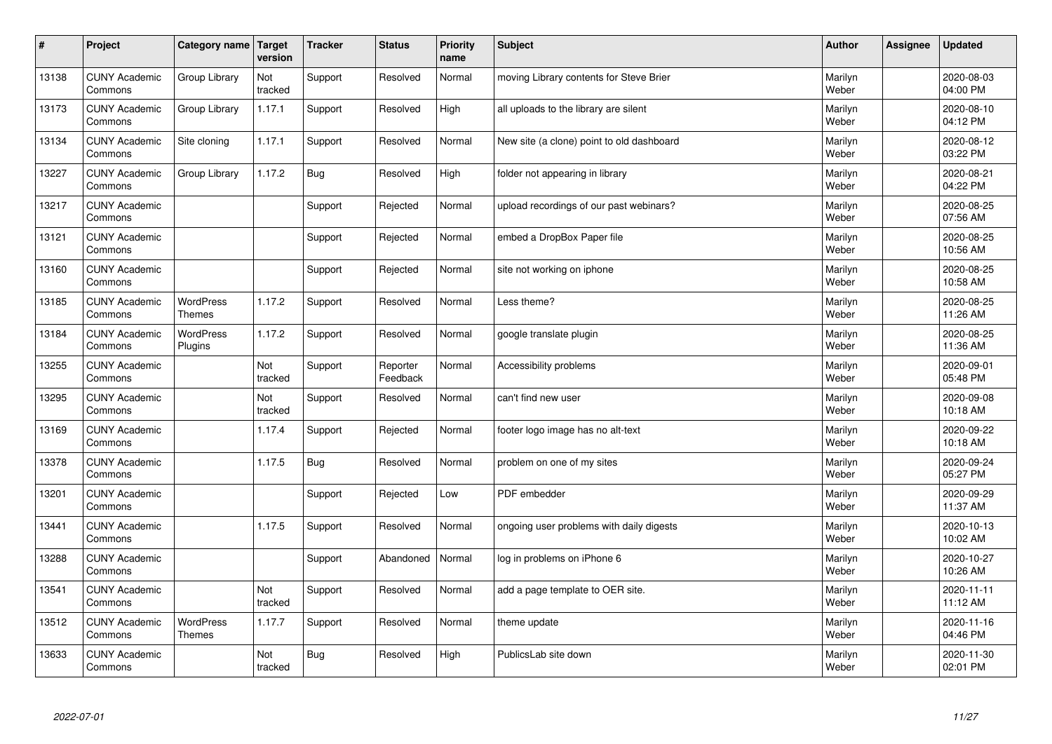| $\sharp$ | Project                         | Category name   Target            | version        | <b>Tracker</b> | <b>Status</b>        | <b>Priority</b><br>name | <b>Subject</b>                            | <b>Author</b>    | <b>Assignee</b> | <b>Updated</b>         |
|----------|---------------------------------|-----------------------------------|----------------|----------------|----------------------|-------------------------|-------------------------------------------|------------------|-----------------|------------------------|
| 13138    | <b>CUNY Academic</b><br>Commons | Group Library                     | Not<br>tracked | Support        | Resolved             | Normal                  | moving Library contents for Steve Brier   | Marilyn<br>Weber |                 | 2020-08-03<br>04:00 PM |
| 13173    | <b>CUNY Academic</b><br>Commons | Group Library                     | 1.17.1         | Support        | Resolved             | High                    | all uploads to the library are silent     | Marilyn<br>Weber |                 | 2020-08-10<br>04:12 PM |
| 13134    | <b>CUNY Academic</b><br>Commons | Site cloning                      | 1.17.1         | Support        | Resolved             | Normal                  | New site (a clone) point to old dashboard | Marilyn<br>Weber |                 | 2020-08-12<br>03:22 PM |
| 13227    | <b>CUNY Academic</b><br>Commons | Group Library                     | 1.17.2         | <b>Bug</b>     | Resolved             | High                    | folder not appearing in library           | Marilyn<br>Weber |                 | 2020-08-21<br>04:22 PM |
| 13217    | <b>CUNY Academic</b><br>Commons |                                   |                | Support        | Rejected             | Normal                  | upload recordings of our past webinars?   | Marilyn<br>Weber |                 | 2020-08-25<br>07:56 AM |
| 13121    | <b>CUNY Academic</b><br>Commons |                                   |                | Support        | Rejected             | Normal                  | embed a DropBox Paper file                | Marilyn<br>Weber |                 | 2020-08-25<br>10:56 AM |
| 13160    | <b>CUNY Academic</b><br>Commons |                                   |                | Support        | Rejected             | Normal                  | site not working on iphone                | Marilyn<br>Weber |                 | 2020-08-25<br>10:58 AM |
| 13185    | <b>CUNY Academic</b><br>Commons | WordPress<br><b>Themes</b>        | 1.17.2         | Support        | Resolved             | Normal                  | Less theme?                               | Marilyn<br>Weber |                 | 2020-08-25<br>11:26 AM |
| 13184    | <b>CUNY Academic</b><br>Commons | <b>WordPress</b><br>Plugins       | 1.17.2         | Support        | Resolved             | Normal                  | google translate plugin                   | Marilyn<br>Weber |                 | 2020-08-25<br>11:36 AM |
| 13255    | <b>CUNY Academic</b><br>Commons |                                   | Not<br>tracked | Support        | Reporter<br>Feedback | Normal                  | Accessibility problems                    | Marilyn<br>Weber |                 | 2020-09-01<br>05:48 PM |
| 13295    | <b>CUNY Academic</b><br>Commons |                                   | Not<br>tracked | Support        | Resolved             | Normal                  | can't find new user                       | Marilyn<br>Weber |                 | 2020-09-08<br>10:18 AM |
| 13169    | <b>CUNY Academic</b><br>Commons |                                   | 1.17.4         | Support        | Rejected             | Normal                  | footer logo image has no alt-text         | Marilyn<br>Weber |                 | 2020-09-22<br>10:18 AM |
| 13378    | <b>CUNY Academic</b><br>Commons |                                   | 1.17.5         | Bug            | Resolved             | Normal                  | problem on one of my sites                | Marilyn<br>Weber |                 | 2020-09-24<br>05:27 PM |
| 13201    | <b>CUNY Academic</b><br>Commons |                                   |                | Support        | Rejected             | Low                     | PDF embedder                              | Marilyn<br>Weber |                 | 2020-09-29<br>11:37 AM |
| 13441    | <b>CUNY Academic</b><br>Commons |                                   | 1.17.5         | Support        | Resolved             | Normal                  | ongoing user problems with daily digests  | Marilyn<br>Weber |                 | 2020-10-13<br>10:02 AM |
| 13288    | <b>CUNY Academic</b><br>Commons |                                   |                | Support        | Abandoned            | Normal                  | log in problems on iPhone 6               | Marilyn<br>Weber |                 | 2020-10-27<br>10:26 AM |
| 13541    | <b>CUNY Academic</b><br>Commons |                                   | Not<br>tracked | Support        | Resolved             | Normal                  | add a page template to OER site.          | Marilyn<br>Weber |                 | 2020-11-11<br>11:12 AM |
| 13512    | <b>CUNY Academic</b><br>Commons | <b>WordPress</b><br><b>Themes</b> | 1.17.7         | Support        | Resolved             | Normal                  | theme update                              | Marilyn<br>Weber |                 | 2020-11-16<br>04:46 PM |
| 13633    | <b>CUNY Academic</b><br>Commons |                                   | Not<br>tracked | Bug            | Resolved             | High                    | PublicsLab site down                      | Marilyn<br>Weber |                 | 2020-11-30<br>02:01 PM |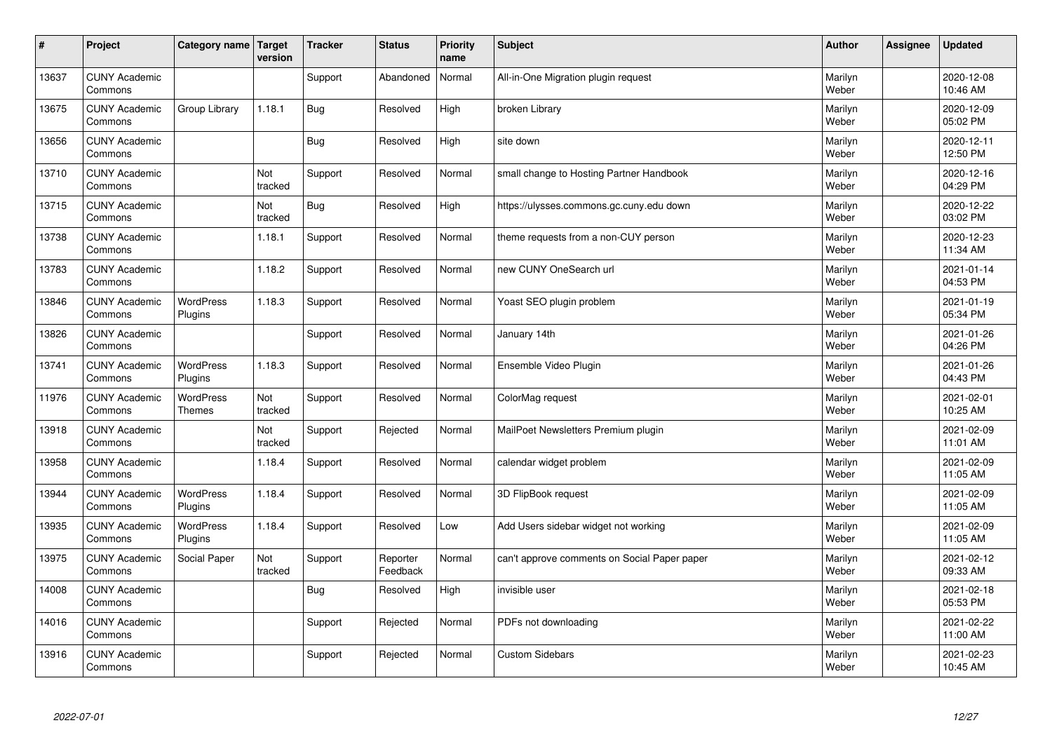| $\sharp$ | Project                         | Category name   Target            | version        | <b>Tracker</b> | <b>Status</b>        | <b>Priority</b><br>name | <b>Subject</b>                               | <b>Author</b>    | <b>Assignee</b> | <b>Updated</b>         |
|----------|---------------------------------|-----------------------------------|----------------|----------------|----------------------|-------------------------|----------------------------------------------|------------------|-----------------|------------------------|
| 13637    | <b>CUNY Academic</b><br>Commons |                                   |                | Support        | Abandoned            | Normal                  | All-in-One Migration plugin request          | Marilyn<br>Weber |                 | 2020-12-08<br>10:46 AM |
| 13675    | <b>CUNY Academic</b><br>Commons | Group Library                     | 1.18.1         | Bug            | Resolved             | High                    | broken Library                               | Marilyn<br>Weber |                 | 2020-12-09<br>05:02 PM |
| 13656    | <b>CUNY Academic</b><br>Commons |                                   |                | <b>Bug</b>     | Resolved             | High                    | site down                                    | Marilyn<br>Weber |                 | 2020-12-11<br>12:50 PM |
| 13710    | <b>CUNY Academic</b><br>Commons |                                   | Not<br>tracked | Support        | Resolved             | Normal                  | small change to Hosting Partner Handbook     | Marilyn<br>Weber |                 | 2020-12-16<br>04:29 PM |
| 13715    | <b>CUNY Academic</b><br>Commons |                                   | Not<br>tracked | <b>Bug</b>     | Resolved             | High                    | https://ulysses.commons.gc.cuny.edu down     | Marilyn<br>Weber |                 | 2020-12-22<br>03:02 PM |
| 13738    | <b>CUNY Academic</b><br>Commons |                                   | 1.18.1         | Support        | Resolved             | Normal                  | theme requests from a non-CUY person         | Marilyn<br>Weber |                 | 2020-12-23<br>11:34 AM |
| 13783    | <b>CUNY Academic</b><br>Commons |                                   | 1.18.2         | Support        | Resolved             | Normal                  | new CUNY OneSearch url                       | Marilyn<br>Weber |                 | 2021-01-14<br>04:53 PM |
| 13846    | <b>CUNY Academic</b><br>Commons | <b>WordPress</b><br>Plugins       | 1.18.3         | Support        | Resolved             | Normal                  | Yoast SEO plugin problem                     | Marilyn<br>Weber |                 | 2021-01-19<br>05:34 PM |
| 13826    | <b>CUNY Academic</b><br>Commons |                                   |                | Support        | Resolved             | Normal                  | January 14th                                 | Marilyn<br>Weber |                 | 2021-01-26<br>04:26 PM |
| 13741    | <b>CUNY Academic</b><br>Commons | <b>WordPress</b><br>Plugins       | 1.18.3         | Support        | Resolved             | Normal                  | Ensemble Video Plugin                        | Marilyn<br>Weber |                 | 2021-01-26<br>04:43 PM |
| 11976    | <b>CUNY Academic</b><br>Commons | <b>WordPress</b><br><b>Themes</b> | Not<br>tracked | Support        | Resolved             | Normal                  | ColorMag request                             | Marilyn<br>Weber |                 | 2021-02-01<br>10:25 AM |
| 13918    | <b>CUNY Academic</b><br>Commons |                                   | Not<br>tracked | Support        | Rejected             | Normal                  | MailPoet Newsletters Premium plugin          | Marilyn<br>Weber |                 | 2021-02-09<br>11:01 AM |
| 13958    | <b>CUNY Academic</b><br>Commons |                                   | 1.18.4         | Support        | Resolved             | Normal                  | calendar widget problem                      | Marilyn<br>Weber |                 | 2021-02-09<br>11:05 AM |
| 13944    | <b>CUNY Academic</b><br>Commons | WordPress<br>Plugins              | 1.18.4         | Support        | Resolved             | Normal                  | 3D FlipBook request                          | Marilyn<br>Weber |                 | 2021-02-09<br>11:05 AM |
| 13935    | <b>CUNY Academic</b><br>Commons | WordPress<br>Plugins              | 1.18.4         | Support        | Resolved             | Low                     | Add Users sidebar widget not working         | Marilyn<br>Weber |                 | 2021-02-09<br>11:05 AM |
| 13975    | <b>CUNY Academic</b><br>Commons | Social Paper                      | Not<br>tracked | Support        | Reporter<br>Feedback | Normal                  | can't approve comments on Social Paper paper | Marilyn<br>Weber |                 | 2021-02-12<br>09:33 AM |
| 14008    | <b>CUNY Academic</b><br>Commons |                                   |                | Bug            | Resolved             | High                    | invisible user                               | Marilyn<br>Weber |                 | 2021-02-18<br>05:53 PM |
| 14016    | <b>CUNY Academic</b><br>Commons |                                   |                | Support        | Rejected             | Normal                  | PDFs not downloading                         | Marilyn<br>Weber |                 | 2021-02-22<br>11:00 AM |
| 13916    | <b>CUNY Academic</b><br>Commons |                                   |                | Support        | Rejected             | Normal                  | <b>Custom Sidebars</b>                       | Marilyn<br>Weber |                 | 2021-02-23<br>10:45 AM |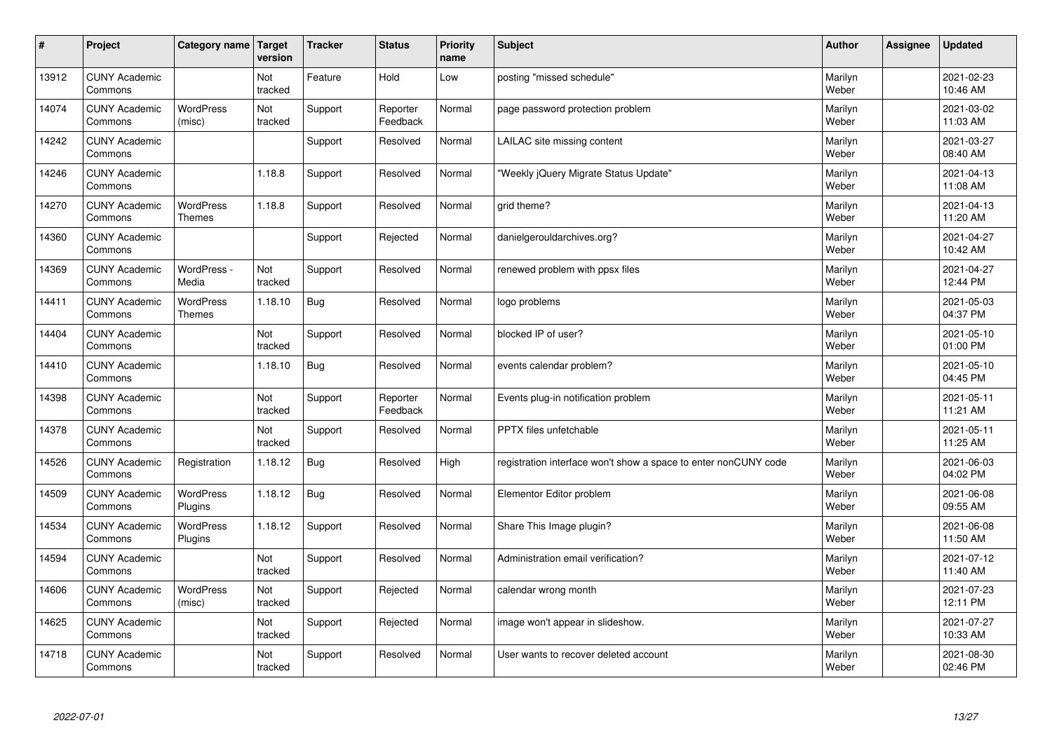| $\vert$ # | Project                         | Category name                     | Target<br>version | <b>Tracker</b> | <b>Status</b>        | <b>Priority</b><br>name | <b>Subject</b>                                                  | <b>Author</b>    | Assignee | <b>Updated</b>         |
|-----------|---------------------------------|-----------------------------------|-------------------|----------------|----------------------|-------------------------|-----------------------------------------------------------------|------------------|----------|------------------------|
| 13912     | <b>CUNY Academic</b><br>Commons |                                   | Not<br>tracked    | Feature        | Hold                 | Low                     | posting "missed schedule"                                       | Marilyn<br>Weber |          | 2021-02-23<br>10:46 AM |
| 14074     | <b>CUNY Academic</b><br>Commons | <b>WordPress</b><br>(misc)        | Not<br>tracked    | Support        | Reporter<br>Feedback | Normal                  | page password protection problem                                | Marilyn<br>Weber |          | 2021-03-02<br>11:03 AM |
| 14242     | <b>CUNY Academic</b><br>Commons |                                   |                   | Support        | Resolved             | Normal                  | LAILAC site missing content                                     | Marilyn<br>Weber |          | 2021-03-27<br>08:40 AM |
| 14246     | <b>CUNY Academic</b><br>Commons |                                   | 1.18.8            | Support        | Resolved             | Normal                  | 'Weekly jQuery Migrate Status Update"                           | Marilyn<br>Weber |          | 2021-04-13<br>11:08 AM |
| 14270     | <b>CUNY Academic</b><br>Commons | WordPress<br><b>Themes</b>        | 1.18.8            | Support        | Resolved             | Normal                  | grid theme?                                                     | Marilyn<br>Weber |          | 2021-04-13<br>11:20 AM |
| 14360     | <b>CUNY Academic</b><br>Commons |                                   |                   | Support        | Rejected             | Normal                  | danielgerouldarchives.org?                                      | Marilyn<br>Weber |          | 2021-04-27<br>10:42 AM |
| 14369     | <b>CUNY Academic</b><br>Commons | WordPress -<br>Media              | Not<br>tracked    | Support        | Resolved             | Normal                  | renewed problem with ppsx files                                 | Marilyn<br>Weber |          | 2021-04-27<br>12:44 PM |
| 14411     | <b>CUNY Academic</b><br>Commons | <b>WordPress</b><br><b>Themes</b> | 1.18.10           | Bug            | Resolved             | Normal                  | logo problems                                                   | Marilyn<br>Weber |          | 2021-05-03<br>04:37 PM |
| 14404     | <b>CUNY Academic</b><br>Commons |                                   | Not<br>tracked    | Support        | Resolved             | Normal                  | blocked IP of user?                                             | Marilyn<br>Weber |          | 2021-05-10<br>01:00 PM |
| 14410     | <b>CUNY Academic</b><br>Commons |                                   | 1.18.10           | <b>Bug</b>     | Resolved             | Normal                  | events calendar problem?                                        | Marilyn<br>Weber |          | 2021-05-10<br>04:45 PM |
| 14398     | <b>CUNY Academic</b><br>Commons |                                   | Not<br>tracked    | Support        | Reporter<br>Feedback | Normal                  | Events plug-in notification problem                             | Marilyn<br>Weber |          | 2021-05-11<br>11:21 AM |
| 14378     | <b>CUNY Academic</b><br>Commons |                                   | Not<br>tracked    | Support        | Resolved             | Normal                  | PPTX files unfetchable                                          | Marilyn<br>Weber |          | 2021-05-11<br>11:25 AM |
| 14526     | <b>CUNY Academic</b><br>Commons | Registration                      | 1.18.12           | Bug            | Resolved             | High                    | registration interface won't show a space to enter nonCUNY code | Marilyn<br>Weber |          | 2021-06-03<br>04:02 PM |
| 14509     | <b>CUNY Academic</b><br>Commons | WordPress<br>Plugins              | 1.18.12           | Bug            | Resolved             | Normal                  | Elementor Editor problem                                        | Marilyn<br>Weber |          | 2021-06-08<br>09:55 AM |
| 14534     | <b>CUNY Academic</b><br>Commons | WordPress<br>Plugins              | 1.18.12           | Support        | Resolved             | Normal                  | Share This Image plugin?                                        | Marilyn<br>Weber |          | 2021-06-08<br>11:50 AM |
| 14594     | <b>CUNY Academic</b><br>Commons |                                   | Not<br>tracked    | Support        | Resolved             | Normal                  | Administration email verification?                              | Marilyn<br>Weber |          | 2021-07-12<br>11:40 AM |
| 14606     | <b>CUNY Academic</b><br>Commons | <b>WordPress</b><br>(misc)        | Not<br>tracked    | Support        | Rejected             | Normal                  | calendar wrong month                                            | Marilyn<br>Weber |          | 2021-07-23<br>12:11 PM |
| 14625     | <b>CUNY Academic</b><br>Commons |                                   | Not<br>tracked    | Support        | Rejected             | Normal                  | image won't appear in slideshow.                                | Marilyn<br>Weber |          | 2021-07-27<br>10:33 AM |
| 14718     | <b>CUNY Academic</b><br>Commons |                                   | Not<br>tracked    | Support        | Resolved             | Normal                  | User wants to recover deleted account                           | Marilyn<br>Weber |          | 2021-08-30<br>02:46 PM |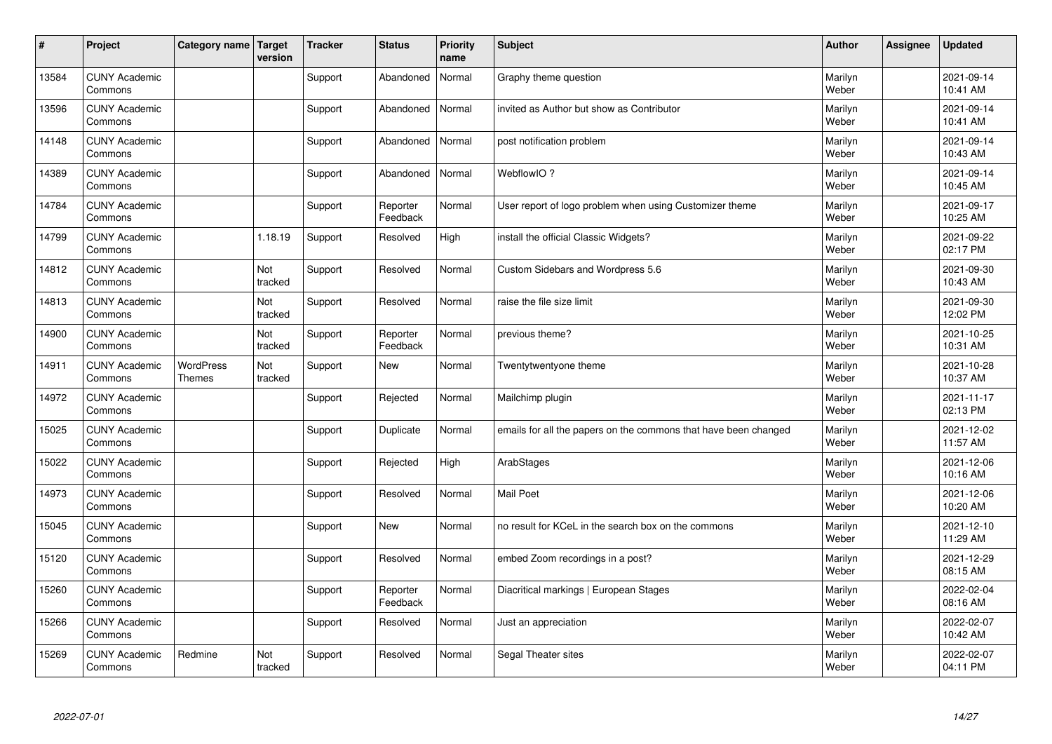| $\vert$ # | Project                         | Category name   Target     | version        | <b>Tracker</b> | <b>Status</b>        | <b>Priority</b><br>name | <b>Subject</b>                                                  | <b>Author</b>    | Assignee | <b>Updated</b>         |
|-----------|---------------------------------|----------------------------|----------------|----------------|----------------------|-------------------------|-----------------------------------------------------------------|------------------|----------|------------------------|
| 13584     | <b>CUNY Academic</b><br>Commons |                            |                | Support        | Abandoned            | Normal                  | Graphy theme question                                           | Marilyn<br>Weber |          | 2021-09-14<br>10:41 AM |
| 13596     | <b>CUNY Academic</b><br>Commons |                            |                | Support        | Abandoned            | Normal                  | invited as Author but show as Contributor                       | Marilyn<br>Weber |          | 2021-09-14<br>10:41 AM |
| 14148     | <b>CUNY Academic</b><br>Commons |                            |                | Support        | Abandoned            | Normal                  | post notification problem                                       | Marilyn<br>Weber |          | 2021-09-14<br>10:43 AM |
| 14389     | <b>CUNY Academic</b><br>Commons |                            |                | Support        | Abandoned            | Normal                  | WebflowIO?                                                      | Marilyn<br>Weber |          | 2021-09-14<br>10:45 AM |
| 14784     | <b>CUNY Academic</b><br>Commons |                            |                | Support        | Reporter<br>Feedback | Normal                  | User report of logo problem when using Customizer theme         | Marilyn<br>Weber |          | 2021-09-17<br>10:25 AM |
| 14799     | <b>CUNY Academic</b><br>Commons |                            | 1.18.19        | Support        | Resolved             | High                    | install the official Classic Widgets?                           | Marilyn<br>Weber |          | 2021-09-22<br>02:17 PM |
| 14812     | <b>CUNY Academic</b><br>Commons |                            | Not<br>tracked | Support        | Resolved             | Normal                  | Custom Sidebars and Wordpress 5.6                               | Marilyn<br>Weber |          | 2021-09-30<br>10:43 AM |
| 14813     | <b>CUNY Academic</b><br>Commons |                            | Not<br>tracked | Support        | Resolved             | Normal                  | raise the file size limit                                       | Marilyn<br>Weber |          | 2021-09-30<br>12:02 PM |
| 14900     | <b>CUNY Academic</b><br>Commons |                            | Not<br>tracked | Support        | Reporter<br>Feedback | Normal                  | previous theme?                                                 | Marilyn<br>Weber |          | 2021-10-25<br>10:31 AM |
| 14911     | <b>CUNY Academic</b><br>Commons | WordPress<br><b>Themes</b> | Not<br>tracked | Support        | <b>New</b>           | Normal                  | Twentytwentyone theme                                           | Marilyn<br>Weber |          | 2021-10-28<br>10:37 AM |
| 14972     | <b>CUNY Academic</b><br>Commons |                            |                | Support        | Rejected             | Normal                  | Mailchimp plugin                                                | Marilyn<br>Weber |          | 2021-11-17<br>02:13 PM |
| 15025     | <b>CUNY Academic</b><br>Commons |                            |                | Support        | Duplicate            | Normal                  | emails for all the papers on the commons that have been changed | Marilyn<br>Weber |          | 2021-12-02<br>11:57 AM |
| 15022     | <b>CUNY Academic</b><br>Commons |                            |                | Support        | Rejected             | High                    | ArabStages                                                      | Marilyn<br>Weber |          | 2021-12-06<br>10:16 AM |
| 14973     | <b>CUNY Academic</b><br>Commons |                            |                | Support        | Resolved             | Normal                  | Mail Poet                                                       | Marilyn<br>Weber |          | 2021-12-06<br>10:20 AM |
| 15045     | <b>CUNY Academic</b><br>Commons |                            |                | Support        | <b>New</b>           | Normal                  | no result for KCeL in the search box on the commons             | Marilyn<br>Weber |          | 2021-12-10<br>11:29 AM |
| 15120     | <b>CUNY Academic</b><br>Commons |                            |                | Support        | Resolved             | Normal                  | embed Zoom recordings in a post?                                | Marilyn<br>Weber |          | 2021-12-29<br>08:15 AM |
| 15260     | <b>CUNY Academic</b><br>Commons |                            |                | Support        | Reporter<br>Feedback | Normal                  | Diacritical markings   European Stages                          | Marilyn<br>Weber |          | 2022-02-04<br>08:16 AM |
| 15266     | <b>CUNY Academic</b><br>Commons |                            |                | Support        | Resolved             | Normal                  | Just an appreciation                                            | Marilyn<br>Weber |          | 2022-02-07<br>10:42 AM |
| 15269     | <b>CUNY Academic</b><br>Commons | Redmine                    | Not<br>tracked | Support        | Resolved             | Normal                  | Segal Theater sites                                             | Marilyn<br>Weber |          | 2022-02-07<br>04:11 PM |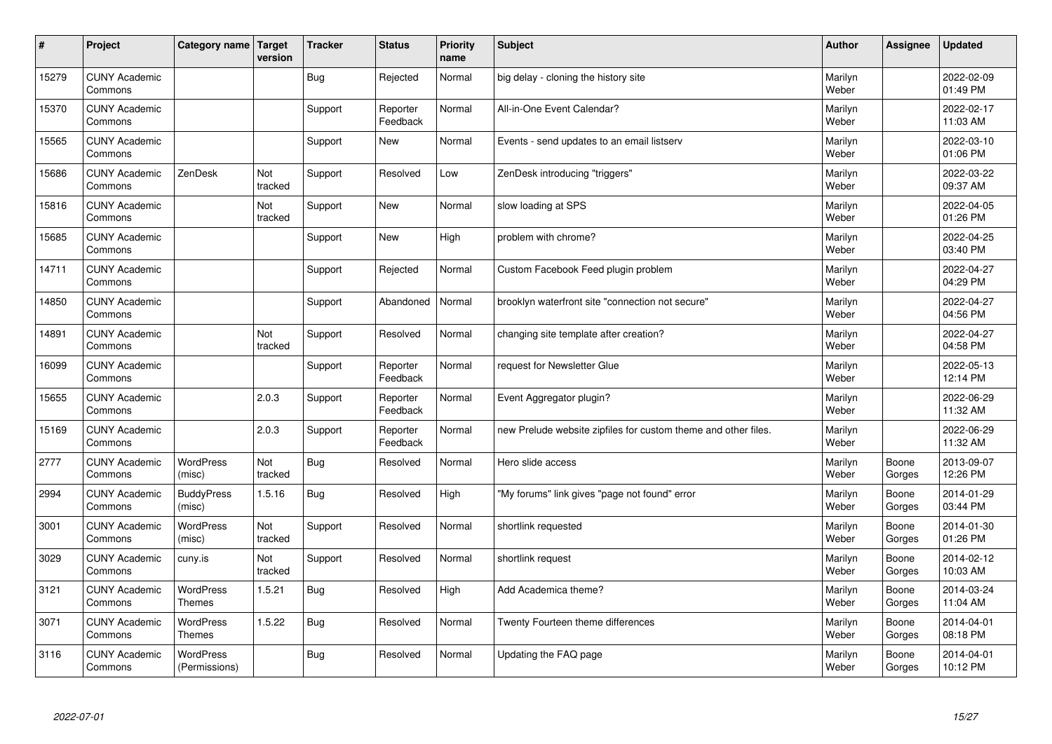| $\sharp$ | Project                         | Category name                     | Target<br>version | <b>Tracker</b> | <b>Status</b>        | <b>Priority</b><br>name | <b>Subject</b>                                                 | <b>Author</b>    | <b>Assignee</b> | <b>Updated</b>         |
|----------|---------------------------------|-----------------------------------|-------------------|----------------|----------------------|-------------------------|----------------------------------------------------------------|------------------|-----------------|------------------------|
| 15279    | <b>CUNY Academic</b><br>Commons |                                   |                   | <b>Bug</b>     | Rejected             | Normal                  | big delay - cloning the history site                           | Marilyn<br>Weber |                 | 2022-02-09<br>01:49 PM |
| 15370    | <b>CUNY Academic</b><br>Commons |                                   |                   | Support        | Reporter<br>Feedback | Normal                  | All-in-One Event Calendar?                                     | Marilyn<br>Weber |                 | 2022-02-17<br>11:03 AM |
| 15565    | <b>CUNY Academic</b><br>Commons |                                   |                   | Support        | New                  | Normal                  | Events - send updates to an email listserv                     | Marilyn<br>Weber |                 | 2022-03-10<br>01:06 PM |
| 15686    | <b>CUNY Academic</b><br>Commons | ZenDesk                           | Not<br>tracked    | Support        | Resolved             | Low                     | ZenDesk introducing "triggers"                                 | Marilyn<br>Weber |                 | 2022-03-22<br>09:37 AM |
| 15816    | <b>CUNY Academic</b><br>Commons |                                   | Not<br>tracked    | Support        | New                  | Normal                  | slow loading at SPS                                            | Marilyn<br>Weber |                 | 2022-04-05<br>01:26 PM |
| 15685    | <b>CUNY Academic</b><br>Commons |                                   |                   | Support        | New                  | High                    | problem with chrome?                                           | Marilyn<br>Weber |                 | 2022-04-25<br>03:40 PM |
| 14711    | <b>CUNY Academic</b><br>Commons |                                   |                   | Support        | Rejected             | Normal                  | Custom Facebook Feed plugin problem                            | Marilyn<br>Weber |                 | 2022-04-27<br>04:29 PM |
| 14850    | <b>CUNY Academic</b><br>Commons |                                   |                   | Support        | Abandoned            | Normal                  | brooklyn waterfront site "connection not secure"               | Marilyn<br>Weber |                 | 2022-04-27<br>04:56 PM |
| 14891    | <b>CUNY Academic</b><br>Commons |                                   | Not<br>tracked    | Support        | Resolved             | Normal                  | changing site template after creation?                         | Marilyn<br>Weber |                 | 2022-04-27<br>04:58 PM |
| 16099    | <b>CUNY Academic</b><br>Commons |                                   |                   | Support        | Reporter<br>Feedback | Normal                  | request for Newsletter Glue                                    | Marilyn<br>Weber |                 | 2022-05-13<br>12:14 PM |
| 15655    | <b>CUNY Academic</b><br>Commons |                                   | 2.0.3             | Support        | Reporter<br>Feedback | Normal                  | Event Aggregator plugin?                                       | Marilyn<br>Weber |                 | 2022-06-29<br>11:32 AM |
| 15169    | <b>CUNY Academic</b><br>Commons |                                   | 2.0.3             | Support        | Reporter<br>Feedback | Normal                  | new Prelude website zipfiles for custom theme and other files. | Marilyn<br>Weber |                 | 2022-06-29<br>11:32 AM |
| 2777     | <b>CUNY Academic</b><br>Commons | <b>WordPress</b><br>(misc)        | Not<br>tracked    | <b>Bug</b>     | Resolved             | Normal                  | Hero slide access                                              | Marilyn<br>Weber | Boone<br>Gorges | 2013-09-07<br>12:26 PM |
| 2994     | <b>CUNY Academic</b><br>Commons | <b>BuddyPress</b><br>(misc)       | 1.5.16            | Bug            | Resolved             | High                    | "My forums" link gives "page not found" error                  | Marilyn<br>Weber | Boone<br>Gorges | 2014-01-29<br>03:44 PM |
| 3001     | <b>CUNY Academic</b><br>Commons | <b>WordPress</b><br>(misc)        | Not<br>tracked    | Support        | Resolved             | Normal                  | shortlink requested                                            | Marilyn<br>Weber | Boone<br>Gorges | 2014-01-30<br>01:26 PM |
| 3029     | <b>CUNY Academic</b><br>Commons | cuny.is                           | Not<br>tracked    | Support        | Resolved             | Normal                  | shortlink request                                              | Marilyn<br>Weber | Boone<br>Gorges | 2014-02-12<br>10:03 AM |
| 3121     | <b>CUNY Academic</b><br>Commons | <b>WordPress</b><br><b>Themes</b> | 1.5.21            | Bug            | Resolved             | High                    | Add Academica theme?                                           | Marilyn<br>Weber | Boone<br>Gorges | 2014-03-24<br>11:04 AM |
| 3071     | <b>CUNY Academic</b><br>Commons | <b>WordPress</b><br><b>Themes</b> | 1.5.22            | <b>Bug</b>     | Resolved             | Normal                  | Twenty Fourteen theme differences                              | Marilyn<br>Weber | Boone<br>Gorges | 2014-04-01<br>08:18 PM |
| 3116     | <b>CUNY Academic</b><br>Commons | <b>WordPress</b><br>(Permissions) |                   | <b>Bug</b>     | Resolved             | Normal                  | Updating the FAQ page                                          | Marilyn<br>Weber | Boone<br>Gorges | 2014-04-01<br>10:12 PM |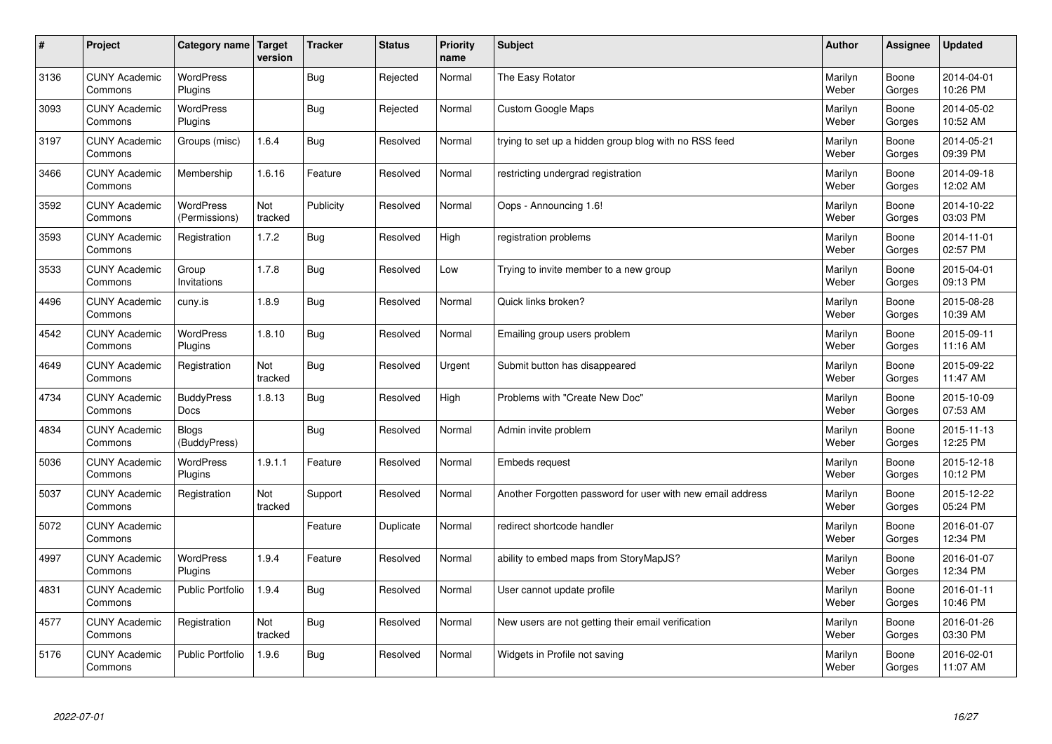| #    | Project                         | Category name   Target            | version        | <b>Tracker</b> | <b>Status</b> | <b>Priority</b><br>name | <b>Subject</b>                                             | <b>Author</b>    | <b>Assignee</b> | <b>Updated</b>         |
|------|---------------------------------|-----------------------------------|----------------|----------------|---------------|-------------------------|------------------------------------------------------------|------------------|-----------------|------------------------|
| 3136 | <b>CUNY Academic</b><br>Commons | <b>WordPress</b><br>Plugins       |                | Bug            | Rejected      | Normal                  | The Easy Rotator                                           | Marilyn<br>Weber | Boone<br>Gorges | 2014-04-01<br>10:26 PM |
| 3093 | <b>CUNY Academic</b><br>Commons | <b>WordPress</b><br>Plugins       |                | Bug            | Rejected      | Normal                  | <b>Custom Google Maps</b>                                  | Marilyn<br>Weber | Boone<br>Gorges | 2014-05-02<br>10:52 AM |
| 3197 | <b>CUNY Academic</b><br>Commons | Groups (misc)                     | 1.6.4          | <b>Bug</b>     | Resolved      | Normal                  | trying to set up a hidden group blog with no RSS feed      | Marilyn<br>Weber | Boone<br>Gorges | 2014-05-21<br>09:39 PM |
| 3466 | <b>CUNY Academic</b><br>Commons | Membership                        | 1.6.16         | Feature        | Resolved      | Normal                  | restricting undergrad registration                         | Marilyn<br>Weber | Boone<br>Gorges | 2014-09-18<br>12:02 AM |
| 3592 | <b>CUNY Academic</b><br>Commons | <b>WordPress</b><br>(Permissions) | Not<br>tracked | Publicity      | Resolved      | Normal                  | Oops - Announcing 1.6!                                     | Marilyn<br>Weber | Boone<br>Gorges | 2014-10-22<br>03:03 PM |
| 3593 | <b>CUNY Academic</b><br>Commons | Registration                      | 1.7.2          | Bug            | Resolved      | High                    | registration problems                                      | Marilyn<br>Weber | Boone<br>Gorges | 2014-11-01<br>02:57 PM |
| 3533 | <b>CUNY Academic</b><br>Commons | Group<br>Invitations              | 1.7.8          | <b>Bug</b>     | Resolved      | Low                     | Trying to invite member to a new group                     | Marilyn<br>Weber | Boone<br>Gorges | 2015-04-01<br>09:13 PM |
| 4496 | <b>CUNY Academic</b><br>Commons | cuny.is                           | 1.8.9          | Bug            | Resolved      | Normal                  | Quick links broken?                                        | Marilyn<br>Weber | Boone<br>Gorges | 2015-08-28<br>10:39 AM |
| 4542 | <b>CUNY Academic</b><br>Commons | <b>WordPress</b><br>Plugins       | 1.8.10         | Bug            | Resolved      | Normal                  | Emailing group users problem                               | Marilyn<br>Weber | Boone<br>Gorges | 2015-09-11<br>11:16 AM |
| 4649 | <b>CUNY Academic</b><br>Commons | Registration                      | Not<br>tracked | Bug            | Resolved      | Urgent                  | Submit button has disappeared                              | Marilyn<br>Weber | Boone<br>Gorges | 2015-09-22<br>11:47 AM |
| 4734 | <b>CUNY Academic</b><br>Commons | <b>BuddyPress</b><br>Docs         | 1.8.13         | Bug            | Resolved      | High                    | Problems with "Create New Doc"                             | Marilyn<br>Weber | Boone<br>Gorges | 2015-10-09<br>07:53 AM |
| 4834 | <b>CUNY Academic</b><br>Commons | <b>Blogs</b><br>(BuddyPress)      |                | Bug            | Resolved      | Normal                  | Admin invite problem                                       | Marilyn<br>Weber | Boone<br>Gorges | 2015-11-13<br>12:25 PM |
| 5036 | <b>CUNY Academic</b><br>Commons | WordPress<br>Plugins              | 1.9.1.1        | Feature        | Resolved      | Normal                  | <b>Embeds request</b>                                      | Marilyn<br>Weber | Boone<br>Gorges | 2015-12-18<br>10:12 PM |
| 5037 | <b>CUNY Academic</b><br>Commons | Registration                      | Not<br>tracked | Support        | Resolved      | Normal                  | Another Forgotten password for user with new email address | Marilyn<br>Weber | Boone<br>Gorges | 2015-12-22<br>05:24 PM |
| 5072 | <b>CUNY Academic</b><br>Commons |                                   |                | Feature        | Duplicate     | Normal                  | redirect shortcode handler                                 | Marilyn<br>Weber | Boone<br>Gorges | 2016-01-07<br>12:34 PM |
| 4997 | <b>CUNY Academic</b><br>Commons | <b>WordPress</b><br>Plugins       | 1.9.4          | Feature        | Resolved      | Normal                  | ability to embed maps from StoryMapJS?                     | Marilyn<br>Weber | Boone<br>Gorges | 2016-01-07<br>12:34 PM |
| 4831 | <b>CUNY Academic</b><br>Commons | <b>Public Portfolio</b>           | 1.9.4          | Bug            | Resolved      | Normal                  | User cannot update profile                                 | Marilyn<br>Weber | Boone<br>Gorges | 2016-01-11<br>10:46 PM |
| 4577 | <b>CUNY Academic</b><br>Commons | Registration                      | Not<br>tracked | Bug            | Resolved      | Normal                  | New users are not getting their email verification         | Marilyn<br>Weber | Boone<br>Gorges | 2016-01-26<br>03:30 PM |
| 5176 | <b>CUNY Academic</b><br>Commons | <b>Public Portfolio</b>           | 1.9.6          | <b>Bug</b>     | Resolved      | Normal                  | Widgets in Profile not saving                              | Marilyn<br>Weber | Boone<br>Gorges | 2016-02-01<br>11:07 AM |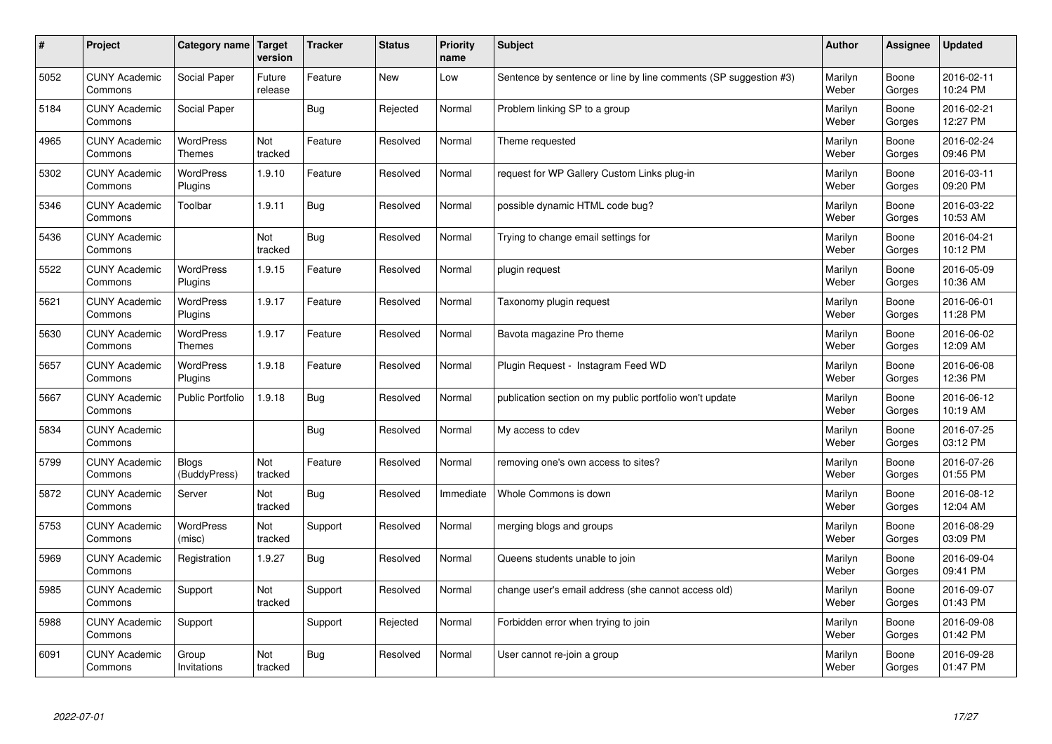| $\sharp$ | Project                         | Category name   Target            | version           | <b>Tracker</b> | <b>Status</b> | <b>Priority</b><br>name | <b>Subject</b>                                                   | <b>Author</b>    | <b>Assignee</b> | <b>Updated</b>         |
|----------|---------------------------------|-----------------------------------|-------------------|----------------|---------------|-------------------------|------------------------------------------------------------------|------------------|-----------------|------------------------|
| 5052     | <b>CUNY Academic</b><br>Commons | Social Paper                      | Future<br>release | Feature        | <b>New</b>    | Low                     | Sentence by sentence or line by line comments (SP suggestion #3) | Marilyn<br>Weber | Boone<br>Gorges | 2016-02-11<br>10:24 PM |
| 5184     | <b>CUNY Academic</b><br>Commons | Social Paper                      |                   | Bug            | Rejected      | Normal                  | Problem linking SP to a group                                    | Marilyn<br>Weber | Boone<br>Gorges | 2016-02-21<br>12:27 PM |
| 4965     | <b>CUNY Academic</b><br>Commons | WordPress<br><b>Themes</b>        | Not<br>tracked    | Feature        | Resolved      | Normal                  | Theme requested                                                  | Marilyn<br>Weber | Boone<br>Gorges | 2016-02-24<br>09:46 PM |
| 5302     | <b>CUNY Academic</b><br>Commons | WordPress<br>Plugins              | 1.9.10            | Feature        | Resolved      | Normal                  | request for WP Gallery Custom Links plug-in                      | Marilyn<br>Weber | Boone<br>Gorges | 2016-03-11<br>09:20 PM |
| 5346     | <b>CUNY Academic</b><br>Commons | Toolbar                           | 1.9.11            | Bug            | Resolved      | Normal                  | possible dynamic HTML code bug?                                  | Marilyn<br>Weber | Boone<br>Gorges | 2016-03-22<br>10:53 AM |
| 5436     | <b>CUNY Academic</b><br>Commons |                                   | Not<br>tracked    | Bug            | Resolved      | Normal                  | Trying to change email settings for                              | Marilyn<br>Weber | Boone<br>Gorges | 2016-04-21<br>10:12 PM |
| 5522     | <b>CUNY Academic</b><br>Commons | <b>WordPress</b><br>Plugins       | 1.9.15            | Feature        | Resolved      | Normal                  | plugin request                                                   | Marilyn<br>Weber | Boone<br>Gorges | 2016-05-09<br>10:36 AM |
| 5621     | <b>CUNY Academic</b><br>Commons | WordPress<br>Plugins              | 1.9.17            | Feature        | Resolved      | Normal                  | Taxonomy plugin request                                          | Marilyn<br>Weber | Boone<br>Gorges | 2016-06-01<br>11:28 PM |
| 5630     | <b>CUNY Academic</b><br>Commons | <b>WordPress</b><br><b>Themes</b> | 1.9.17            | Feature        | Resolved      | Normal                  | Bavota magazine Pro theme                                        | Marilyn<br>Weber | Boone<br>Gorges | 2016-06-02<br>12:09 AM |
| 5657     | <b>CUNY Academic</b><br>Commons | <b>WordPress</b><br>Plugins       | 1.9.18            | Feature        | Resolved      | Normal                  | Plugin Reguest - Instagram Feed WD                               | Marilyn<br>Weber | Boone<br>Gorges | 2016-06-08<br>12:36 PM |
| 5667     | <b>CUNY Academic</b><br>Commons | <b>Public Portfolio</b>           | 1.9.18            | <b>Bug</b>     | Resolved      | Normal                  | publication section on my public portfolio won't update          | Marilyn<br>Weber | Boone<br>Gorges | 2016-06-12<br>10:19 AM |
| 5834     | <b>CUNY Academic</b><br>Commons |                                   |                   | Bug            | Resolved      | Normal                  | My access to cdev                                                | Marilyn<br>Weber | Boone<br>Gorges | 2016-07-25<br>03:12 PM |
| 5799     | <b>CUNY Academic</b><br>Commons | <b>Blogs</b><br>(BuddyPress)      | Not<br>tracked    | Feature        | Resolved      | Normal                  | removing one's own access to sites?                              | Marilyn<br>Weber | Boone<br>Gorges | 2016-07-26<br>01:55 PM |
| 5872     | <b>CUNY Academic</b><br>Commons | Server                            | Not<br>tracked    | Bug            | Resolved      | Immediate               | Whole Commons is down                                            | Marilyn<br>Weber | Boone<br>Gorges | 2016-08-12<br>12:04 AM |
| 5753     | <b>CUNY Academic</b><br>Commons | <b>WordPress</b><br>(misc)        | Not<br>tracked    | Support        | Resolved      | Normal                  | merging blogs and groups                                         | Marilyn<br>Weber | Boone<br>Gorges | 2016-08-29<br>03:09 PM |
| 5969     | <b>CUNY Academic</b><br>Commons | Registration                      | 1.9.27            | <b>Bug</b>     | Resolved      | Normal                  | Queens students unable to join                                   | Marilyn<br>Weber | Boone<br>Gorges | 2016-09-04<br>09:41 PM |
| 5985     | <b>CUNY Academic</b><br>Commons | Support                           | Not<br>tracked    | Support        | Resolved      | Normal                  | change user's email address (she cannot access old)              | Marilyn<br>Weber | Boone<br>Gorges | 2016-09-07<br>01:43 PM |
| 5988     | <b>CUNY Academic</b><br>Commons | Support                           |                   | Support        | Rejected      | Normal                  | Forbidden error when trying to join                              | Marilyn<br>Weber | Boone<br>Gorges | 2016-09-08<br>01:42 PM |
| 6091     | <b>CUNY Academic</b><br>Commons | Group<br>Invitations              | Not<br>tracked    | Bug            | Resolved      | Normal                  | User cannot re-join a group                                      | Marilyn<br>Weber | Boone<br>Gorges | 2016-09-28<br>01:47 PM |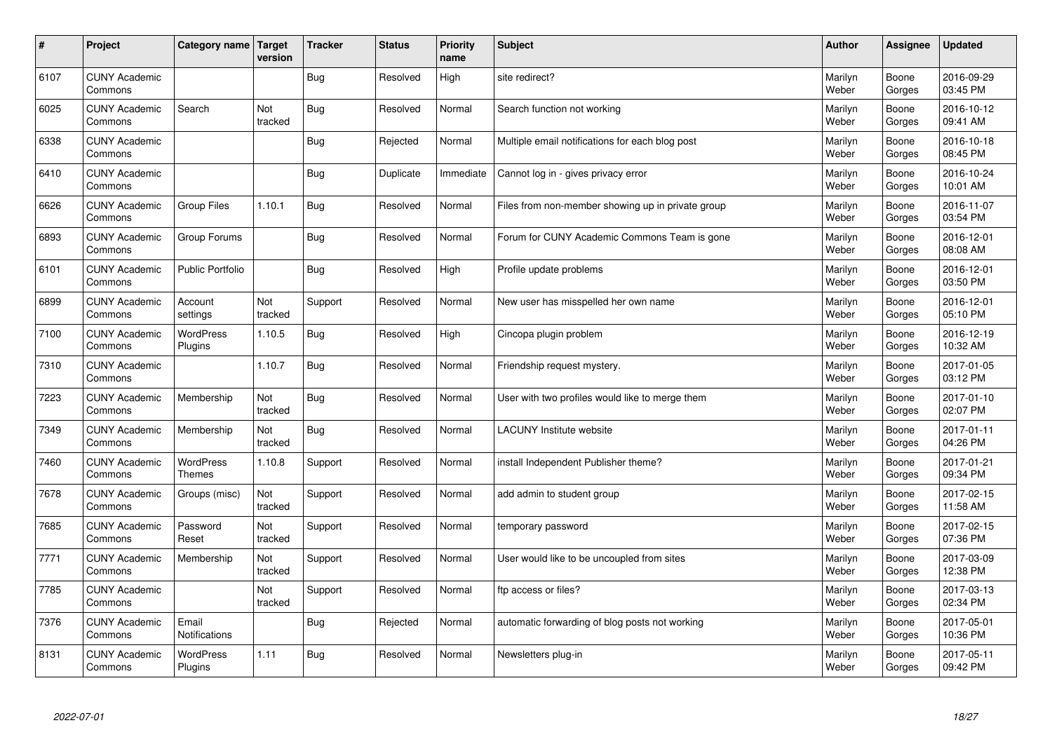| $\sharp$ | Project                         | Category name   Target        | version        | <b>Tracker</b> | <b>Status</b> | <b>Priority</b><br>name | <b>Subject</b>                                    | <b>Author</b>    | Assignee        | <b>Updated</b>         |
|----------|---------------------------------|-------------------------------|----------------|----------------|---------------|-------------------------|---------------------------------------------------|------------------|-----------------|------------------------|
| 6107     | <b>CUNY Academic</b><br>Commons |                               |                | Bug            | Resolved      | High                    | site redirect?                                    | Marilyn<br>Weber | Boone<br>Gorges | 2016-09-29<br>03:45 PM |
| 6025     | <b>CUNY Academic</b><br>Commons | Search                        | Not<br>tracked | Bug            | Resolved      | Normal                  | Search function not working                       | Marilyn<br>Weber | Boone<br>Gorges | 2016-10-12<br>09:41 AM |
| 6338     | <b>CUNY Academic</b><br>Commons |                               |                | Bug            | Rejected      | Normal                  | Multiple email notifications for each blog post   | Marilyn<br>Weber | Boone<br>Gorges | 2016-10-18<br>08:45 PM |
| 6410     | <b>CUNY Academic</b><br>Commons |                               |                | <b>Bug</b>     | Duplicate     | Immediate               | Cannot log in - gives privacy error               | Marilyn<br>Weber | Boone<br>Gorges | 2016-10-24<br>10:01 AM |
| 6626     | <b>CUNY Academic</b><br>Commons | Group Files                   | 1.10.1         | Bug            | Resolved      | Normal                  | Files from non-member showing up in private group | Marilyn<br>Weber | Boone<br>Gorges | 2016-11-07<br>03:54 PM |
| 6893     | <b>CUNY Academic</b><br>Commons | Group Forums                  |                | Bug            | Resolved      | Normal                  | Forum for CUNY Academic Commons Team is gone      | Marilyn<br>Weber | Boone<br>Gorges | 2016-12-01<br>08:08 AM |
| 6101     | <b>CUNY Academic</b><br>Commons | Public Portfolio              |                | Bug            | Resolved      | High                    | Profile update problems                           | Marilyn<br>Weber | Boone<br>Gorges | 2016-12-01<br>03:50 PM |
| 6899     | <b>CUNY Academic</b><br>Commons | Account<br>settings           | Not<br>tracked | Support        | Resolved      | Normal                  | New user has misspelled her own name              | Marilyn<br>Weber | Boone<br>Gorges | 2016-12-01<br>05:10 PM |
| 7100     | <b>CUNY Academic</b><br>Commons | <b>WordPress</b><br>Plugins   | 1.10.5         | Bug            | Resolved      | High                    | Cincopa plugin problem                            | Marilyn<br>Weber | Boone<br>Gorges | 2016-12-19<br>10:32 AM |
| 7310     | <b>CUNY Academic</b><br>Commons |                               | 1.10.7         | Bug            | Resolved      | Normal                  | Friendship request mystery.                       | Marilyn<br>Weber | Boone<br>Gorges | 2017-01-05<br>03:12 PM |
| 7223     | <b>CUNY Academic</b><br>Commons | Membership                    | Not<br>tracked | <b>Bug</b>     | Resolved      | Normal                  | User with two profiles would like to merge them   | Marilyn<br>Weber | Boone<br>Gorges | 2017-01-10<br>02:07 PM |
| 7349     | <b>CUNY Academic</b><br>Commons | Membership                    | Not<br>tracked | Bug            | Resolved      | Normal                  | <b>LACUNY</b> Institute website                   | Marilyn<br>Weber | Boone<br>Gorges | 2017-01-11<br>04:26 PM |
| 7460     | <b>CUNY Academic</b><br>Commons | WordPress<br><b>Themes</b>    | 1.10.8         | Support        | Resolved      | Normal                  | install Independent Publisher theme?              | Marilyn<br>Weber | Boone<br>Gorges | 2017-01-21<br>09:34 PM |
| 7678     | <b>CUNY Academic</b><br>Commons | Groups (misc)                 | Not<br>tracked | Support        | Resolved      | Normal                  | add admin to student group                        | Marilyn<br>Weber | Boone<br>Gorges | 2017-02-15<br>11:58 AM |
| 7685     | <b>CUNY Academic</b><br>Commons | Password<br>Reset             | Not<br>tracked | Support        | Resolved      | Normal                  | temporary password                                | Marilyn<br>Weber | Boone<br>Gorges | 2017-02-15<br>07:36 PM |
| 7771     | <b>CUNY Academic</b><br>Commons | Membership                    | Not<br>tracked | Support        | Resolved      | Normal                  | User would like to be uncoupled from sites        | Marilyn<br>Weber | Boone<br>Gorges | 2017-03-09<br>12:38 PM |
| 7785     | <b>CUNY Academic</b><br>Commons |                               | Not<br>tracked | Support        | Resolved      | Normal                  | ftp access or files?                              | Marilyn<br>Weber | Boone<br>Gorges | 2017-03-13<br>02:34 PM |
| 7376     | <b>CUNY Academic</b><br>Commons | Email<br><b>Notifications</b> |                | Bug            | Rejected      | Normal                  | automatic forwarding of blog posts not working    | Marilyn<br>Weber | Boone<br>Gorges | 2017-05-01<br>10:36 PM |
| 8131     | <b>CUNY Academic</b><br>Commons | WordPress<br>Plugins          | 1.11           | <b>Bug</b>     | Resolved      | Normal                  | Newsletters plug-in                               | Marilyn<br>Weber | Boone<br>Gorges | 2017-05-11<br>09:42 PM |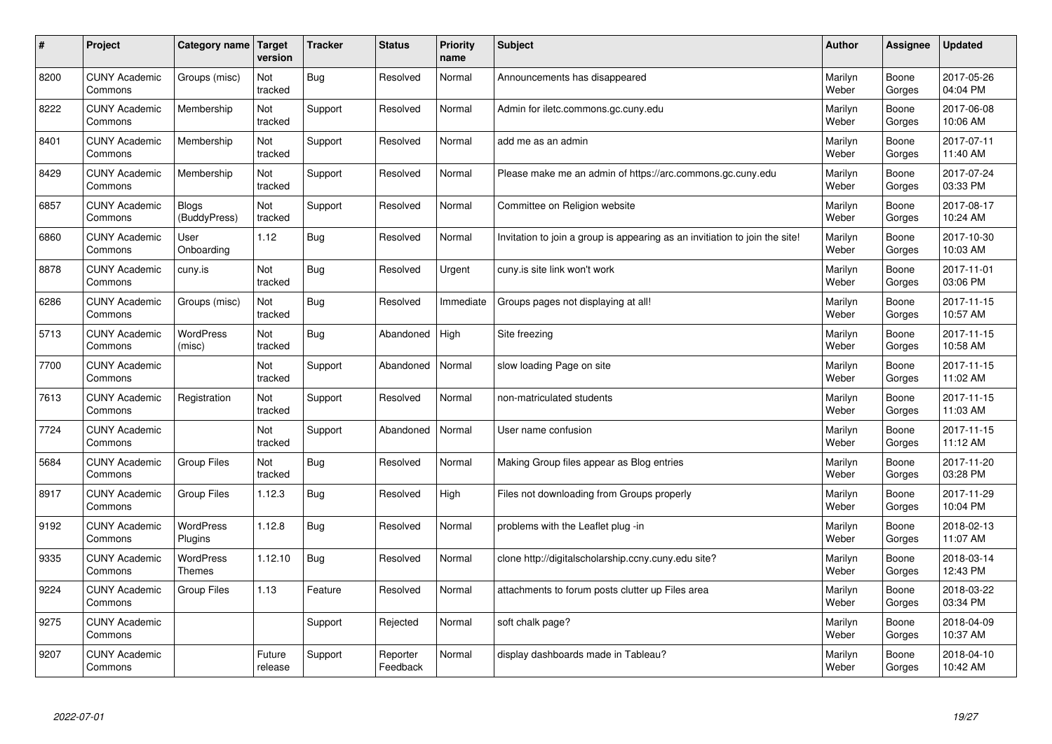| #    | Project                         | Category name                | <b>Target</b><br>version | <b>Tracker</b> | <b>Status</b>        | <b>Priority</b><br>name | <b>Subject</b>                                                              | <b>Author</b>    | Assignee        | <b>Updated</b>         |
|------|---------------------------------|------------------------------|--------------------------|----------------|----------------------|-------------------------|-----------------------------------------------------------------------------|------------------|-----------------|------------------------|
| 8200 | <b>CUNY Academic</b><br>Commons | Groups (misc)                | Not<br>tracked           | Bug            | Resolved             | Normal                  | Announcements has disappeared                                               | Marilyn<br>Weber | Boone<br>Gorges | 2017-05-26<br>04:04 PM |
| 8222 | <b>CUNY Academic</b><br>Commons | Membership                   | Not<br>tracked           | Support        | Resolved             | Normal                  | Admin for iletc.commons.gc.cuny.edu                                         | Marilyn<br>Weber | Boone<br>Gorges | 2017-06-08<br>10:06 AM |
| 8401 | <b>CUNY Academic</b><br>Commons | Membership                   | Not<br>tracked           | Support        | Resolved             | Normal                  | add me as an admin                                                          | Marilyn<br>Weber | Boone<br>Gorges | 2017-07-11<br>11:40 AM |
| 8429 | <b>CUNY Academic</b><br>Commons | Membership                   | Not<br>tracked           | Support        | Resolved             | Normal                  | Please make me an admin of https://arc.commons.gc.cuny.edu                  | Marilyn<br>Weber | Boone<br>Gorges | 2017-07-24<br>03:33 PM |
| 6857 | <b>CUNY Academic</b><br>Commons | <b>Blogs</b><br>(BuddyPress) | Not<br>tracked           | Support        | Resolved             | Normal                  | Committee on Religion website                                               | Marilyn<br>Weber | Boone<br>Gorges | 2017-08-17<br>10:24 AM |
| 6860 | <b>CUNY Academic</b><br>Commons | User<br>Onboarding           | 1.12                     | Bug            | Resolved             | Normal                  | Invitation to join a group is appearing as an invitiation to join the site! | Marilyn<br>Weber | Boone<br>Gorges | 2017-10-30<br>10:03 AM |
| 8878 | <b>CUNY Academic</b><br>Commons | cuny.is                      | Not<br>tracked           | Bug            | Resolved             | Urgent                  | cuny is site link won't work                                                | Marilyn<br>Weber | Boone<br>Gorges | 2017-11-01<br>03:06 PM |
| 6286 | <b>CUNY Academic</b><br>Commons | Groups (misc)                | Not<br>tracked           | <b>Bug</b>     | Resolved             | Immediate               | Groups pages not displaying at all!                                         | Marilyn<br>Weber | Boone<br>Gorges | 2017-11-15<br>10:57 AM |
| 5713 | <b>CUNY Academic</b><br>Commons | WordPress<br>(misc)          | Not<br>tracked           | Bug            | Abandoned            | High                    | Site freezing                                                               | Marilyn<br>Weber | Boone<br>Gorges | 2017-11-15<br>10:58 AM |
| 7700 | <b>CUNY Academic</b><br>Commons |                              | Not<br>tracked           | Support        | Abandoned            | Normal                  | slow loading Page on site                                                   | Marilyn<br>Weber | Boone<br>Gorges | 2017-11-15<br>11:02 AM |
| 7613 | <b>CUNY Academic</b><br>Commons | Registration                 | Not<br>tracked           | Support        | Resolved             | Normal                  | non-matriculated students                                                   | Marilyn<br>Weber | Boone<br>Gorges | 2017-11-15<br>11:03 AM |
| 7724 | <b>CUNY Academic</b><br>Commons |                              | Not<br>tracked           | Support        | Abandoned            | Normal                  | User name confusion                                                         | Marilyn<br>Weber | Boone<br>Gorges | 2017-11-15<br>11:12 AM |
| 5684 | <b>CUNY Academic</b><br>Commons | <b>Group Files</b>           | Not<br>tracked           | Bug            | Resolved             | Normal                  | Making Group files appear as Blog entries                                   | Marilyn<br>Weber | Boone<br>Gorges | 2017-11-20<br>03:28 PM |
| 8917 | <b>CUNY Academic</b><br>Commons | <b>Group Files</b>           | 1.12.3                   | Bug            | Resolved             | High                    | Files not downloading from Groups properly                                  | Marilyn<br>Weber | Boone<br>Gorges | 2017-11-29<br>10:04 PM |
| 9192 | <b>CUNY Academic</b><br>Commons | WordPress<br>Plugins         | 1.12.8                   | Bug            | Resolved             | Normal                  | problems with the Leaflet plug -in                                          | Marilyn<br>Weber | Boone<br>Gorges | 2018-02-13<br>11:07 AM |
| 9335 | <b>CUNY Academic</b><br>Commons | WordPress<br><b>Themes</b>   | 1.12.10                  | Bug            | Resolved             | Normal                  | clone http://digitalscholarship.ccny.cuny.edu site?                         | Marilyn<br>Weber | Boone<br>Gorges | 2018-03-14<br>12:43 PM |
| 9224 | <b>CUNY Academic</b><br>Commons | <b>Group Files</b>           | 1.13                     | Feature        | Resolved             | Normal                  | attachments to forum posts clutter up Files area                            | Marilyn<br>Weber | Boone<br>Gorges | 2018-03-22<br>03:34 PM |
| 9275 | <b>CUNY Academic</b><br>Commons |                              |                          | Support        | Rejected             | Normal                  | soft chalk page?                                                            | Marilyn<br>Weber | Boone<br>Gorges | 2018-04-09<br>10:37 AM |
| 9207 | <b>CUNY Academic</b><br>Commons |                              | Future<br>release        | Support        | Reporter<br>Feedback | Normal                  | display dashboards made in Tableau?                                         | Marilyn<br>Weber | Boone<br>Gorges | 2018-04-10<br>10:42 AM |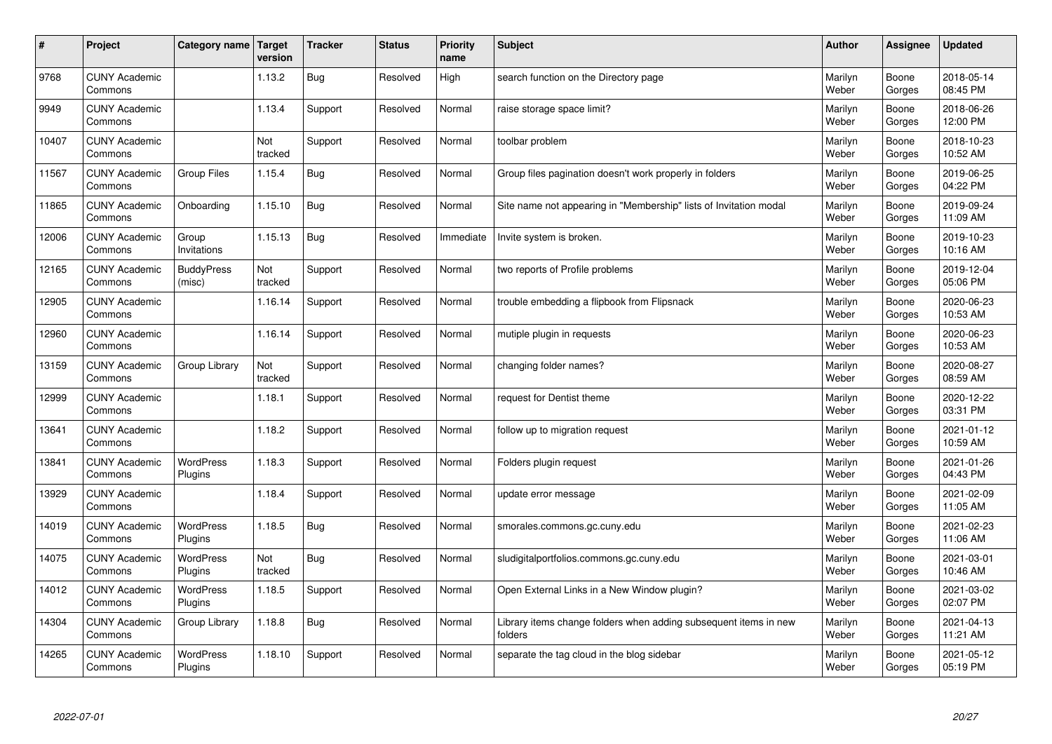| $\sharp$ | Project                         | Category name   Target      | version        | <b>Tracker</b> | <b>Status</b> | <b>Priority</b><br>name | <b>Subject</b>                                                              | <b>Author</b>    | Assignee        | <b>Updated</b>         |
|----------|---------------------------------|-----------------------------|----------------|----------------|---------------|-------------------------|-----------------------------------------------------------------------------|------------------|-----------------|------------------------|
| 9768     | <b>CUNY Academic</b><br>Commons |                             | 1.13.2         | <b>Bug</b>     | Resolved      | High                    | search function on the Directory page                                       | Marilyn<br>Weber | Boone<br>Gorges | 2018-05-14<br>08:45 PM |
| 9949     | <b>CUNY Academic</b><br>Commons |                             | 1.13.4         | Support        | Resolved      | Normal                  | raise storage space limit?                                                  | Marilyn<br>Weber | Boone<br>Gorges | 2018-06-26<br>12:00 PM |
| 10407    | <b>CUNY Academic</b><br>Commons |                             | Not<br>tracked | Support        | Resolved      | Normal                  | toolbar problem                                                             | Marilyn<br>Weber | Boone<br>Gorges | 2018-10-23<br>10:52 AM |
| 11567    | <b>CUNY Academic</b><br>Commons | Group Files                 | 1.15.4         | Bug            | Resolved      | Normal                  | Group files pagination doesn't work properly in folders                     | Marilyn<br>Weber | Boone<br>Gorges | 2019-06-25<br>04:22 PM |
| 11865    | <b>CUNY Academic</b><br>Commons | Onboarding                  | 1.15.10        | <b>Bug</b>     | Resolved      | Normal                  | Site name not appearing in "Membership" lists of Invitation modal           | Marilyn<br>Weber | Boone<br>Gorges | 2019-09-24<br>11:09 AM |
| 12006    | <b>CUNY Academic</b><br>Commons | Group<br>Invitations        | 1.15.13        | Bug            | Resolved      | Immediate               | Invite system is broken.                                                    | Marilyn<br>Weber | Boone<br>Gorges | 2019-10-23<br>10:16 AM |
| 12165    | <b>CUNY Academic</b><br>Commons | <b>BuddyPress</b><br>(misc) | Not<br>tracked | Support        | Resolved      | Normal                  | two reports of Profile problems                                             | Marilyn<br>Weber | Boone<br>Gorges | 2019-12-04<br>05:06 PM |
| 12905    | <b>CUNY Academic</b><br>Commons |                             | 1.16.14        | Support        | Resolved      | Normal                  | trouble embedding a flipbook from Flipsnack                                 | Marilyn<br>Weber | Boone<br>Gorges | 2020-06-23<br>10:53 AM |
| 12960    | <b>CUNY Academic</b><br>Commons |                             | 1.16.14        | Support        | Resolved      | Normal                  | mutiple plugin in requests                                                  | Marilyn<br>Weber | Boone<br>Gorges | 2020-06-23<br>10:53 AM |
| 13159    | <b>CUNY Academic</b><br>Commons | Group Library               | Not<br>tracked | Support        | Resolved      | Normal                  | changing folder names?                                                      | Marilyn<br>Weber | Boone<br>Gorges | 2020-08-27<br>08:59 AM |
| 12999    | <b>CUNY Academic</b><br>Commons |                             | 1.18.1         | Support        | Resolved      | Normal                  | request for Dentist theme                                                   | Marilyn<br>Weber | Boone<br>Gorges | 2020-12-22<br>03:31 PM |
| 13641    | <b>CUNY Academic</b><br>Commons |                             | 1.18.2         | Support        | Resolved      | Normal                  | follow up to migration request                                              | Marilyn<br>Weber | Boone<br>Gorges | 2021-01-12<br>10:59 AM |
| 13841    | <b>CUNY Academic</b><br>Commons | <b>WordPress</b><br>Plugins | 1.18.3         | Support        | Resolved      | Normal                  | Folders plugin request                                                      | Marilyn<br>Weber | Boone<br>Gorges | 2021-01-26<br>04:43 PM |
| 13929    | <b>CUNY Academic</b><br>Commons |                             | 1.18.4         | Support        | Resolved      | Normal                  | update error message                                                        | Marilyn<br>Weber | Boone<br>Gorges | 2021-02-09<br>11:05 AM |
| 14019    | <b>CUNY Academic</b><br>Commons | WordPress<br>Plugins        | 1.18.5         | <b>Bug</b>     | Resolved      | Normal                  | smorales.commons.gc.cuny.edu                                                | Marilyn<br>Weber | Boone<br>Gorges | 2021-02-23<br>11:06 AM |
| 14075    | <b>CUNY Academic</b><br>Commons | <b>WordPress</b><br>Plugins | Not<br>tracked | <b>Bug</b>     | Resolved      | Normal                  | sludigitalportfolios.commons.gc.cuny.edu                                    | Marilyn<br>Weber | Boone<br>Gorges | 2021-03-01<br>10:46 AM |
| 14012    | <b>CUNY Academic</b><br>Commons | WordPress<br>Plugins        | 1.18.5         | Support        | Resolved      | Normal                  | Open External Links in a New Window plugin?                                 | Marilyn<br>Weber | Boone<br>Gorges | 2021-03-02<br>02:07 PM |
| 14304    | <b>CUNY Academic</b><br>Commons | Group Library               | 1.18.8         | Bug            | Resolved      | Normal                  | Library items change folders when adding subsequent items in new<br>folders | Marilyn<br>Weber | Boone<br>Gorges | 2021-04-13<br>11:21 AM |
| 14265    | <b>CUNY Academic</b><br>Commons | <b>WordPress</b><br>Plugins | 1.18.10        | Support        | Resolved      | Normal                  | separate the tag cloud in the blog sidebar                                  | Marilyn<br>Weber | Boone<br>Gorges | 2021-05-12<br>05:19 PM |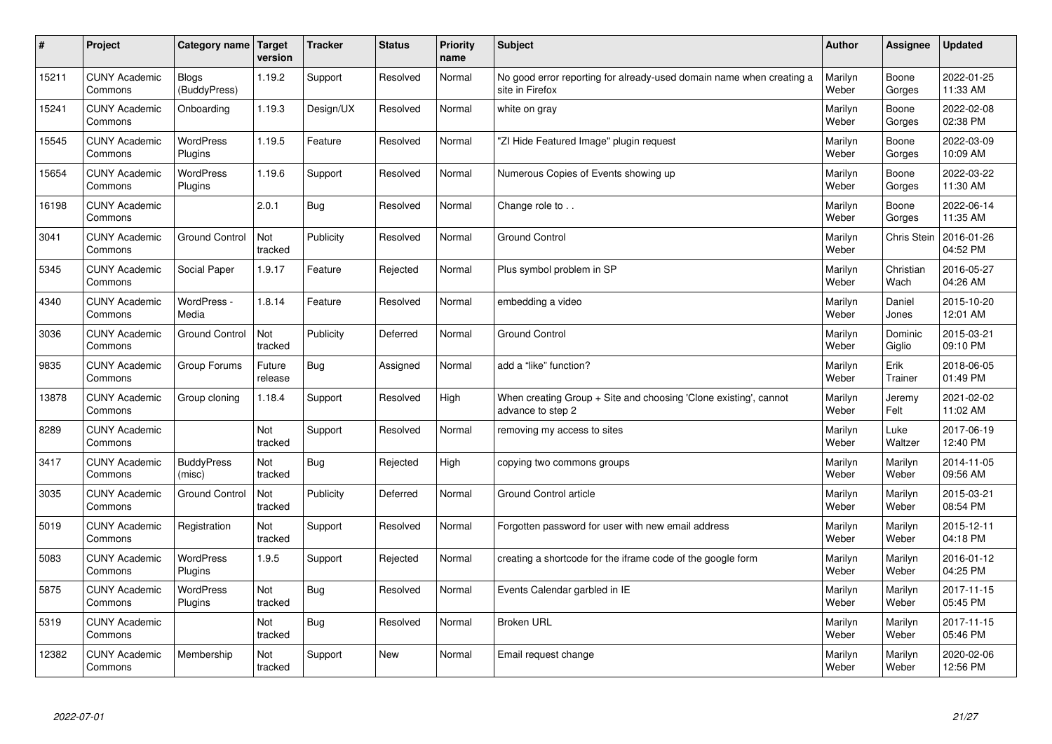| $\pmb{\#}$ | Project                         | Category name                | Target<br>version | <b>Tracker</b> | <b>Status</b> | <b>Priority</b><br>name | <b>Subject</b>                                                                          | <b>Author</b>    | Assignee          | <b>Updated</b>         |
|------------|---------------------------------|------------------------------|-------------------|----------------|---------------|-------------------------|-----------------------------------------------------------------------------------------|------------------|-------------------|------------------------|
| 15211      | <b>CUNY Academic</b><br>Commons | <b>Blogs</b><br>(BuddyPress) | 1.19.2            | Support        | Resolved      | Normal                  | No good error reporting for already-used domain name when creating a<br>site in Firefox | Marilyn<br>Weber | Boone<br>Gorges   | 2022-01-25<br>11:33 AM |
| 15241      | <b>CUNY Academic</b><br>Commons | Onboarding                   | 1.19.3            | Design/UX      | Resolved      | Normal                  | white on gray                                                                           | Marilyn<br>Weber | Boone<br>Gorges   | 2022-02-08<br>02:38 PM |
| 15545      | <b>CUNY Academic</b><br>Commons | <b>WordPress</b><br>Plugins  | 1.19.5            | Feature        | Resolved      | Normal                  | "ZI Hide Featured Image" plugin request                                                 | Marilyn<br>Weber | Boone<br>Gorges   | 2022-03-09<br>10:09 AM |
| 15654      | <b>CUNY Academic</b><br>Commons | <b>WordPress</b><br>Plugins  | 1.19.6            | Support        | Resolved      | Normal                  | Numerous Copies of Events showing up                                                    | Marilyn<br>Weber | Boone<br>Gorges   | 2022-03-22<br>11:30 AM |
| 16198      | <b>CUNY Academic</b><br>Commons |                              | 2.0.1             | Bug            | Resolved      | Normal                  | Change role to                                                                          | Marilyn<br>Weber | Boone<br>Gorges   | 2022-06-14<br>11:35 AM |
| 3041       | <b>CUNY Academic</b><br>Commons | <b>Ground Control</b>        | Not<br>tracked    | Publicity      | Resolved      | Normal                  | <b>Ground Control</b>                                                                   | Marilyn<br>Weber | Chris Stein       | 2016-01-26<br>04:52 PM |
| 5345       | <b>CUNY Academic</b><br>Commons | Social Paper                 | 1.9.17            | Feature        | Rejected      | Normal                  | Plus symbol problem in SP                                                               | Marilyn<br>Weber | Christian<br>Wach | 2016-05-27<br>04:26 AM |
| 4340       | <b>CUNY Academic</b><br>Commons | WordPress -<br>Media         | 1.8.14            | Feature        | Resolved      | Normal                  | embedding a video                                                                       | Marilyn<br>Weber | Daniel<br>Jones   | 2015-10-20<br>12:01 AM |
| 3036       | <b>CUNY Academic</b><br>Commons | <b>Ground Control</b>        | Not<br>tracked    | Publicity      | Deferred      | Normal                  | <b>Ground Control</b>                                                                   | Marilyn<br>Weber | Dominic<br>Giglio | 2015-03-21<br>09:10 PM |
| 9835       | <b>CUNY Academic</b><br>Commons | Group Forums                 | Future<br>release | <b>Bug</b>     | Assigned      | Normal                  | add a "like" function?                                                                  | Marilyn<br>Weber | Erik<br>Trainer   | 2018-06-05<br>01:49 PM |
| 13878      | <b>CUNY Academic</b><br>Commons | Group cloning                | 1.18.4            | Support        | Resolved      | High                    | When creating Group + Site and choosing 'Clone existing', cannot<br>advance to step 2   | Marilyn<br>Weber | Jeremy<br>Felt    | 2021-02-02<br>11:02 AM |
| 8289       | <b>CUNY Academic</b><br>Commons |                              | Not<br>tracked    | Support        | Resolved      | Normal                  | removing my access to sites                                                             | Marilyn<br>Weber | Luke<br>Waltzer   | 2017-06-19<br>12:40 PM |
| 3417       | <b>CUNY Academic</b><br>Commons | <b>BuddyPress</b><br>(misc)  | Not<br>tracked    | <b>Bug</b>     | Rejected      | High                    | copying two commons groups                                                              | Marilyn<br>Weber | Marilyn<br>Weber  | 2014-11-05<br>09:56 AM |
| 3035       | <b>CUNY Academic</b><br>Commons | <b>Ground Control</b>        | Not<br>tracked    | Publicity      | Deferred      | Normal                  | Ground Control article                                                                  | Marilyn<br>Weber | Marilyn<br>Weber  | 2015-03-21<br>08:54 PM |
| 5019       | <b>CUNY Academic</b><br>Commons | Registration                 | Not<br>tracked    | Support        | Resolved      | Normal                  | Forgotten password for user with new email address                                      | Marilyn<br>Weber | Marilyn<br>Weber  | 2015-12-11<br>04:18 PM |
| 5083       | <b>CUNY Academic</b><br>Commons | WordPress<br>Plugins         | 1.9.5             | Support        | Rejected      | Normal                  | creating a shortcode for the iframe code of the google form                             | Marilyn<br>Weber | Marilyn<br>Weber  | 2016-01-12<br>04:25 PM |
| 5875       | <b>CUNY Academic</b><br>Commons | WordPress<br>Plugins         | Not<br>tracked    | <b>Bug</b>     | Resolved      | Normal                  | Events Calendar garbled in IE                                                           | Marilyn<br>Weber | Marilyn<br>Weber  | 2017-11-15<br>05:45 PM |
| 5319       | <b>CUNY Academic</b><br>Commons |                              | Not<br>tracked    | Bug            | Resolved      | Normal                  | <b>Broken URL</b>                                                                       | Marilyn<br>Weber | Marilyn<br>Weber  | 2017-11-15<br>05:46 PM |
| 12382      | <b>CUNY Academic</b><br>Commons | Membership                   | Not<br>tracked    | Support        | New           | Normal                  | Email request change                                                                    | Marilyn<br>Weber | Marilyn<br>Weber  | 2020-02-06<br>12:56 PM |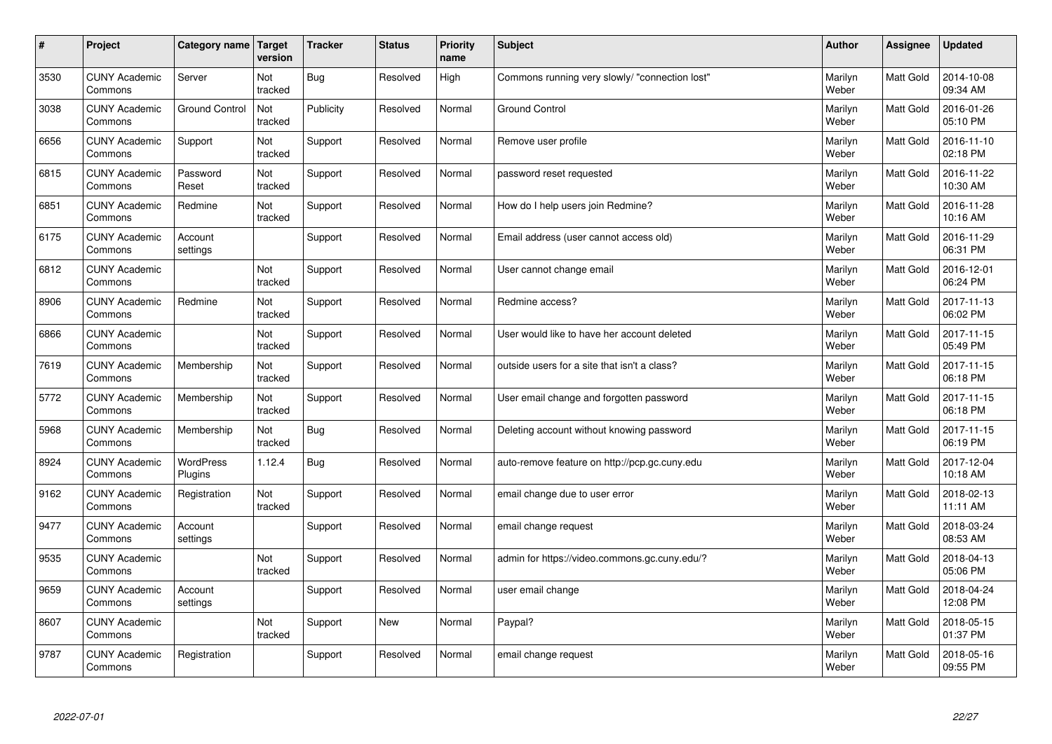| #    | Project                         | Category name         | Target<br>version | <b>Tracker</b> | <b>Status</b> | <b>Priority</b><br>name | <b>Subject</b>                                 | <b>Author</b>    | <b>Assignee</b>  | <b>Updated</b>         |
|------|---------------------------------|-----------------------|-------------------|----------------|---------------|-------------------------|------------------------------------------------|------------------|------------------|------------------------|
| 3530 | <b>CUNY Academic</b><br>Commons | Server                | Not<br>tracked    | <b>Bug</b>     | Resolved      | High                    | Commons running very slowly/ "connection lost" | Marilyn<br>Weber | <b>Matt Gold</b> | 2014-10-08<br>09:34 AM |
| 3038 | <b>CUNY Academic</b><br>Commons | <b>Ground Control</b> | Not<br>tracked    | Publicity      | Resolved      | Normal                  | <b>Ground Control</b>                          | Marilyn<br>Weber | <b>Matt Gold</b> | 2016-01-26<br>05:10 PM |
| 6656 | <b>CUNY Academic</b><br>Commons | Support               | Not<br>tracked    | Support        | Resolved      | Normal                  | Remove user profile                            | Marilyn<br>Weber | <b>Matt Gold</b> | 2016-11-10<br>02:18 PM |
| 6815 | <b>CUNY Academic</b><br>Commons | Password<br>Reset     | Not<br>tracked    | Support        | Resolved      | Normal                  | password reset requested                       | Marilyn<br>Weber | Matt Gold        | 2016-11-22<br>10:30 AM |
| 6851 | <b>CUNY Academic</b><br>Commons | Redmine               | Not<br>tracked    | Support        | Resolved      | Normal                  | How do I help users join Redmine?              | Marilyn<br>Weber | Matt Gold        | 2016-11-28<br>10:16 AM |
| 6175 | <b>CUNY Academic</b><br>Commons | Account<br>settings   |                   | Support        | Resolved      | Normal                  | Email address (user cannot access old)         | Marilyn<br>Weber | <b>Matt Gold</b> | 2016-11-29<br>06:31 PM |
| 6812 | <b>CUNY Academic</b><br>Commons |                       | Not<br>tracked    | Support        | Resolved      | Normal                  | User cannot change email                       | Marilyn<br>Weber | Matt Gold        | 2016-12-01<br>06:24 PM |
| 8906 | <b>CUNY Academic</b><br>Commons | Redmine               | Not<br>tracked    | Support        | Resolved      | Normal                  | Redmine access?                                | Marilyn<br>Weber | Matt Gold        | 2017-11-13<br>06:02 PM |
| 6866 | <b>CUNY Academic</b><br>Commons |                       | Not<br>tracked    | Support        | Resolved      | Normal                  | User would like to have her account deleted    | Marilyn<br>Weber | <b>Matt Gold</b> | 2017-11-15<br>05:49 PM |
| 7619 | <b>CUNY Academic</b><br>Commons | Membership            | Not<br>tracked    | Support        | Resolved      | Normal                  | outside users for a site that isn't a class?   | Marilyn<br>Weber | <b>Matt Gold</b> | 2017-11-15<br>06:18 PM |
| 5772 | <b>CUNY Academic</b><br>Commons | Membership            | Not<br>tracked    | Support        | Resolved      | Normal                  | User email change and forgotten password       | Marilyn<br>Weber | Matt Gold        | 2017-11-15<br>06:18 PM |
| 5968 | <b>CUNY Academic</b><br>Commons | Membership            | Not<br>tracked    | <b>Bug</b>     | Resolved      | Normal                  | Deleting account without knowing password      | Marilyn<br>Weber | Matt Gold        | 2017-11-15<br>06:19 PM |
| 8924 | <b>CUNY Academic</b><br>Commons | WordPress<br>Plugins  | 1.12.4            | <b>Bug</b>     | Resolved      | Normal                  | auto-remove feature on http://pcp.gc.cuny.edu  | Marilyn<br>Weber | Matt Gold        | 2017-12-04<br>10:18 AM |
| 9162 | <b>CUNY Academic</b><br>Commons | Registration          | Not<br>tracked    | Support        | Resolved      | Normal                  | email change due to user error                 | Marilyn<br>Weber | Matt Gold        | 2018-02-13<br>11:11 AM |
| 9477 | <b>CUNY Academic</b><br>Commons | Account<br>settings   |                   | Support        | Resolved      | Normal                  | email change request                           | Marilyn<br>Weber | Matt Gold        | 2018-03-24<br>08:53 AM |
| 9535 | <b>CUNY Academic</b><br>Commons |                       | Not<br>tracked    | Support        | Resolved      | Normal                  | admin for https://video.commons.gc.cuny.edu/?  | Marilyn<br>Weber | <b>Matt Gold</b> | 2018-04-13<br>05:06 PM |
| 9659 | <b>CUNY Academic</b><br>Commons | Account<br>settings   |                   | Support        | Resolved      | Normal                  | user email change                              | Marilyn<br>Weber | <b>Matt Gold</b> | 2018-04-24<br>12:08 PM |
| 8607 | <b>CUNY Academic</b><br>Commons |                       | Not<br>tracked    | Support        | New           | Normal                  | Paypal?                                        | Marilyn<br>Weber | Matt Gold        | 2018-05-15<br>01:37 PM |
| 9787 | <b>CUNY Academic</b><br>Commons | Registration          |                   | Support        | Resolved      | Normal                  | email change request                           | Marilyn<br>Weber | Matt Gold        | 2018-05-16<br>09:55 PM |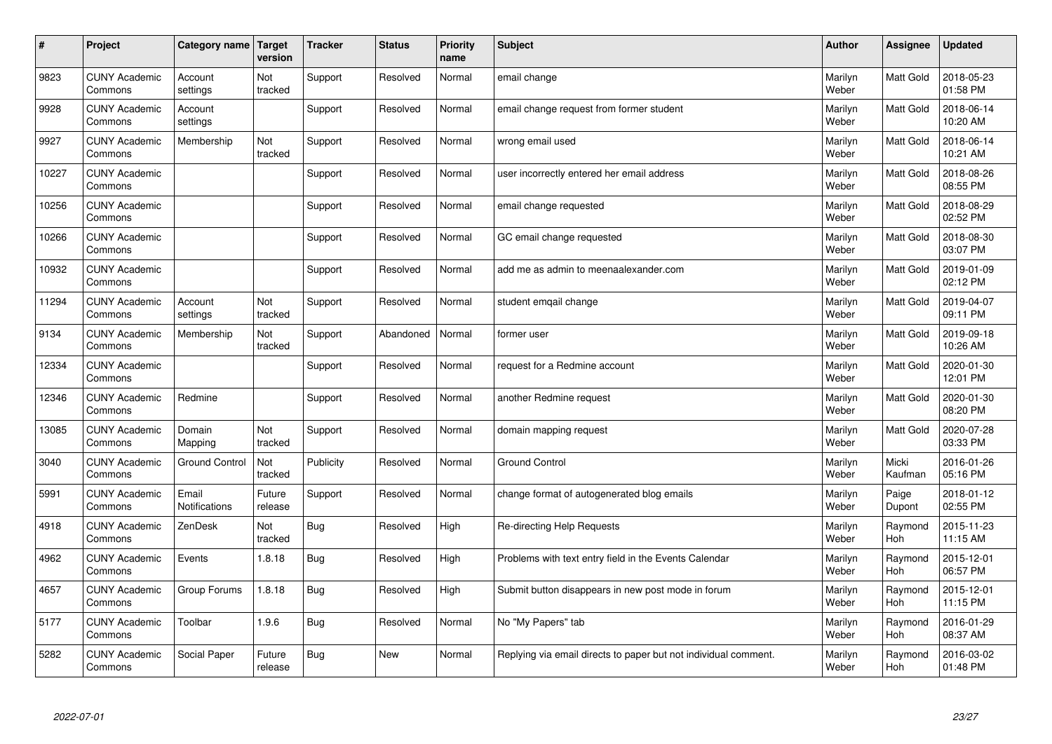| $\vert$ # | Project                         | Category name Target   | version           | <b>Tracker</b> | <b>Status</b> | <b>Priority</b><br>name | <b>Subject</b>                                                  | <b>Author</b>    | <b>Assignee</b>  | <b>Updated</b>         |
|-----------|---------------------------------|------------------------|-------------------|----------------|---------------|-------------------------|-----------------------------------------------------------------|------------------|------------------|------------------------|
| 9823      | <b>CUNY Academic</b><br>Commons | Account<br>settings    | Not<br>tracked    | Support        | Resolved      | Normal                  | email change                                                    | Marilyn<br>Weber | <b>Matt Gold</b> | 2018-05-23<br>01:58 PM |
| 9928      | <b>CUNY Academic</b><br>Commons | Account<br>settings    |                   | Support        | Resolved      | Normal                  | email change request from former student                        | Marilyn<br>Weber | Matt Gold        | 2018-06-14<br>10:20 AM |
| 9927      | <b>CUNY Academic</b><br>Commons | Membership             | Not<br>tracked    | Support        | Resolved      | Normal                  | wrong email used                                                | Marilyn<br>Weber | Matt Gold        | 2018-06-14<br>10:21 AM |
| 10227     | <b>CUNY Academic</b><br>Commons |                        |                   | Support        | Resolved      | Normal                  | user incorrectly entered her email address                      | Marilyn<br>Weber | Matt Gold        | 2018-08-26<br>08:55 PM |
| 10256     | <b>CUNY Academic</b><br>Commons |                        |                   | Support        | Resolved      | Normal                  | email change requested                                          | Marilyn<br>Weber | Matt Gold        | 2018-08-29<br>02:52 PM |
| 10266     | <b>CUNY Academic</b><br>Commons |                        |                   | Support        | Resolved      | Normal                  | GC email change requested                                       | Marilyn<br>Weber | Matt Gold        | 2018-08-30<br>03:07 PM |
| 10932     | <b>CUNY Academic</b><br>Commons |                        |                   | Support        | Resolved      | Normal                  | add me as admin to meenaalexander.com                           | Marilyn<br>Weber | Matt Gold        | 2019-01-09<br>02:12 PM |
| 11294     | <b>CUNY Academic</b><br>Commons | Account<br>settings    | Not<br>tracked    | Support        | Resolved      | Normal                  | student emqail change                                           | Marilyn<br>Weber | Matt Gold        | 2019-04-07<br>09:11 PM |
| 9134      | <b>CUNY Academic</b><br>Commons | Membership             | Not<br>tracked    | Support        | Abandoned     | Normal                  | former user                                                     | Marilyn<br>Weber | Matt Gold        | 2019-09-18<br>10:26 AM |
| 12334     | <b>CUNY Academic</b><br>Commons |                        |                   | Support        | Resolved      | Normal                  | request for a Redmine account                                   | Marilyn<br>Weber | Matt Gold        | 2020-01-30<br>12:01 PM |
| 12346     | <b>CUNY Academic</b><br>Commons | Redmine                |                   | Support        | Resolved      | Normal                  | another Redmine request                                         | Marilyn<br>Weber | Matt Gold        | 2020-01-30<br>08:20 PM |
| 13085     | <b>CUNY Academic</b><br>Commons | Domain<br>Mapping      | Not<br>tracked    | Support        | Resolved      | Normal                  | domain mapping request                                          | Marilyn<br>Weber | Matt Gold        | 2020-07-28<br>03:33 PM |
| 3040      | <b>CUNY Academic</b><br>Commons | <b>Ground Control</b>  | Not<br>tracked    | Publicity      | Resolved      | Normal                  | <b>Ground Control</b>                                           | Marilyn<br>Weber | Micki<br>Kaufman | 2016-01-26<br>05:16 PM |
| 5991      | <b>CUNY Academic</b><br>Commons | Email<br>Notifications | Future<br>release | Support        | Resolved      | Normal                  | change format of autogenerated blog emails                      | Marilyn<br>Weber | Paige<br>Dupont  | 2018-01-12<br>02:55 PM |
| 4918      | <b>CUNY Academic</b><br>Commons | ZenDesk                | Not<br>tracked    | Bug            | Resolved      | High                    | Re-directing Help Requests                                      | Marilyn<br>Weber | Raymond<br>Hoh   | 2015-11-23<br>11:15 AM |
| 4962      | <b>CUNY Academic</b><br>Commons | Events                 | 1.8.18            | <b>Bug</b>     | Resolved      | High                    | Problems with text entry field in the Events Calendar           | Marilyn<br>Weber | Raymond<br>Hoh   | 2015-12-01<br>06:57 PM |
| 4657      | <b>CUNY Academic</b><br>Commons | Group Forums           | 1.8.18            | Bug            | Resolved      | High                    | Submit button disappears in new post mode in forum              | Marilyn<br>Weber | Raymond<br>Hoh   | 2015-12-01<br>11:15 PM |
| 5177      | <b>CUNY Academic</b><br>Commons | Toolbar                | 1.9.6             | <b>Bug</b>     | Resolved      | Normal                  | No "My Papers" tab                                              | Marilyn<br>Weber | Raymond<br>Hoh   | 2016-01-29<br>08:37 AM |
| 5282      | <b>CUNY Academic</b><br>Commons | Social Paper           | Future<br>release | Bug            | <b>New</b>    | Normal                  | Replying via email directs to paper but not individual comment. | Marilyn<br>Weber | Raymond<br>Hoh   | 2016-03-02<br>01:48 PM |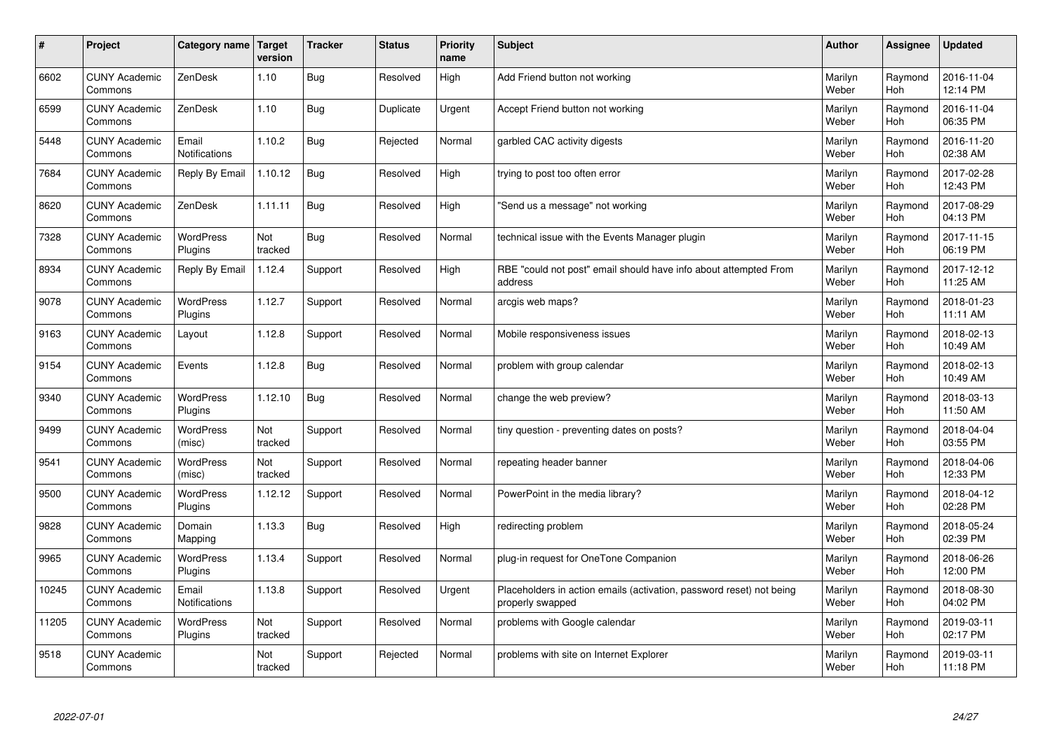| #     | Project                         | Category name Target          | version        | <b>Tracker</b> | <b>Status</b> | <b>Priority</b><br>name | <b>Subject</b>                                                                           | <b>Author</b>    | <b>Assignee</b> | <b>Updated</b>         |
|-------|---------------------------------|-------------------------------|----------------|----------------|---------------|-------------------------|------------------------------------------------------------------------------------------|------------------|-----------------|------------------------|
| 6602  | <b>CUNY Academic</b><br>Commons | ZenDesk                       | 1.10           | <b>Bug</b>     | Resolved      | High                    | Add Friend button not working                                                            | Marilyn<br>Weber | Raymond<br>Hoh  | 2016-11-04<br>12:14 PM |
| 6599  | <b>CUNY Academic</b><br>Commons | ZenDesk                       | 1.10           | Bug            | Duplicate     | Urgent                  | Accept Friend button not working                                                         | Marilyn<br>Weber | Raymond<br>Hoh  | 2016-11-04<br>06:35 PM |
| 5448  | <b>CUNY Academic</b><br>Commons | Email<br>Notifications        | 1.10.2         | <b>Bug</b>     | Rejected      | Normal                  | garbled CAC activity digests                                                             | Marilyn<br>Weber | Raymond<br>Hoh  | 2016-11-20<br>02:38 AM |
| 7684  | <b>CUNY Academic</b><br>Commons | Reply By Email                | 1.10.12        | Bug            | Resolved      | High                    | trying to post too often error                                                           | Marilyn<br>Weber | Raymond<br>Hoh  | 2017-02-28<br>12:43 PM |
| 8620  | <b>CUNY Academic</b><br>Commons | ZenDesk                       | 1.11.11        | Bug            | Resolved      | High                    | 'Send us a message" not working                                                          | Marilyn<br>Weber | Raymond<br>Hoh  | 2017-08-29<br>04:13 PM |
| 7328  | <b>CUNY Academic</b><br>Commons | <b>WordPress</b><br>Plugins   | Not<br>tracked | <b>Bug</b>     | Resolved      | Normal                  | technical issue with the Events Manager plugin                                           | Marilyn<br>Weber | Raymond<br>Hoh  | 2017-11-15<br>06:19 PM |
| 8934  | <b>CUNY Academic</b><br>Commons | Reply By Email                | 1.12.4         | Support        | Resolved      | High                    | RBE "could not post" email should have info about attempted From<br>address              | Marilyn<br>Weber | Raymond<br>Hoh  | 2017-12-12<br>11:25 AM |
| 9078  | <b>CUNY Academic</b><br>Commons | WordPress<br>Plugins          | 1.12.7         | Support        | Resolved      | Normal                  | arcgis web maps?                                                                         | Marilyn<br>Weber | Raymond<br>Hoh  | 2018-01-23<br>11:11 AM |
| 9163  | <b>CUNY Academic</b><br>Commons | Layout                        | 1.12.8         | Support        | Resolved      | Normal                  | Mobile responsiveness issues                                                             | Marilyn<br>Weber | Raymond<br>Hoh  | 2018-02-13<br>10:49 AM |
| 9154  | <b>CUNY Academic</b><br>Commons | Events                        | 1.12.8         | Bug            | Resolved      | Normal                  | problem with group calendar                                                              | Marilyn<br>Weber | Raymond<br>Hoh  | 2018-02-13<br>10:49 AM |
| 9340  | <b>CUNY Academic</b><br>Commons | WordPress<br>Plugins          | 1.12.10        | <b>Bug</b>     | Resolved      | Normal                  | change the web preview?                                                                  | Marilyn<br>Weber | Raymond<br>Hoh  | 2018-03-13<br>11:50 AM |
| 9499  | <b>CUNY Academic</b><br>Commons | <b>WordPress</b><br>(misc)    | Not<br>tracked | Support        | Resolved      | Normal                  | tiny question - preventing dates on posts?                                               | Marilyn<br>Weber | Raymond<br>Hoh  | 2018-04-04<br>03:55 PM |
| 9541  | <b>CUNY Academic</b><br>Commons | <b>WordPress</b><br>(misc)    | Not<br>tracked | Support        | Resolved      | Normal                  | repeating header banner                                                                  | Marilyn<br>Weber | Raymond<br>Hoh  | 2018-04-06<br>12:33 PM |
| 9500  | <b>CUNY Academic</b><br>Commons | WordPress<br>Plugins          | 1.12.12        | Support        | Resolved      | Normal                  | PowerPoint in the media library?                                                         | Marilyn<br>Weber | Raymond<br>Hoh  | 2018-04-12<br>02:28 PM |
| 9828  | <b>CUNY Academic</b><br>Commons | Domain<br>Mapping             | 1.13.3         | <b>Bug</b>     | Resolved      | High                    | redirecting problem                                                                      | Marilyn<br>Weber | Raymond<br>Hoh  | 2018-05-24<br>02:39 PM |
| 9965  | <b>CUNY Academic</b><br>Commons | <b>WordPress</b><br>Plugins   | 1.13.4         | Support        | Resolved      | Normal                  | plug-in request for OneTone Companion                                                    | Marilyn<br>Weber | Raymond<br>Hoh  | 2018-06-26<br>12:00 PM |
| 10245 | <b>CUNY Academic</b><br>Commons | Email<br><b>Notifications</b> | 1.13.8         | Support        | Resolved      | Urgent                  | Placeholders in action emails (activation, password reset) not being<br>properly swapped | Marilyn<br>Weber | Raymond<br>Hoh  | 2018-08-30<br>04:02 PM |
| 11205 | <b>CUNY Academic</b><br>Commons | WordPress<br>Plugins          | Not<br>tracked | Support        | Resolved      | Normal                  | problems with Google calendar                                                            | Marilyn<br>Weber | Raymond<br>Hoh  | 2019-03-11<br>02:17 PM |
| 9518  | <b>CUNY Academic</b><br>Commons |                               | Not<br>tracked | Support        | Rejected      | Normal                  | problems with site on Internet Explorer                                                  | Marilyn<br>Weber | Raymond<br>Hoh  | 2019-03-11<br>11:18 PM |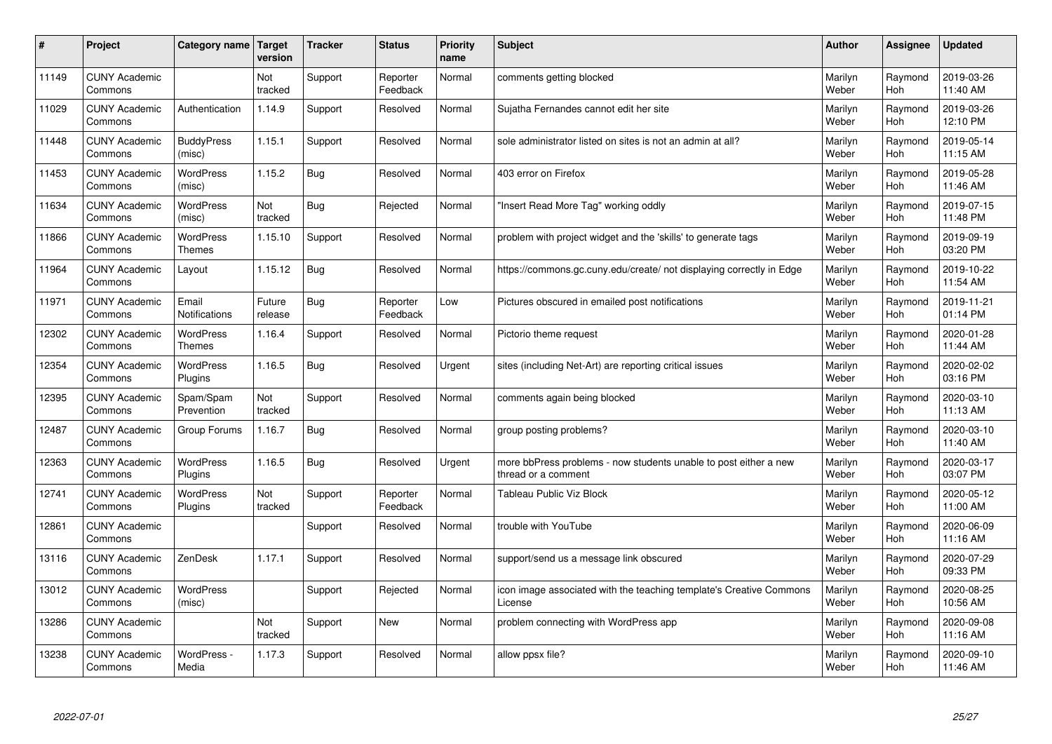| #     | Project                         | Category name                     | <b>Target</b><br>version | <b>Tracker</b> | <b>Status</b>        | <b>Priority</b><br>name | <b>Subject</b>                                                                          | <b>Author</b>    | Assignee       | <b>Updated</b>         |
|-------|---------------------------------|-----------------------------------|--------------------------|----------------|----------------------|-------------------------|-----------------------------------------------------------------------------------------|------------------|----------------|------------------------|
| 11149 | <b>CUNY Academic</b><br>Commons |                                   | Not<br>tracked           | Support        | Reporter<br>Feedback | Normal                  | comments getting blocked                                                                | Marilyn<br>Weber | Raymond<br>Hoh | 2019-03-26<br>11:40 AM |
| 11029 | <b>CUNY Academic</b><br>Commons | Authentication                    | 1.14.9                   | Support        | Resolved             | Normal                  | Sujatha Fernandes cannot edit her site                                                  | Marilyn<br>Weber | Raymond<br>Hoh | 2019-03-26<br>12:10 PM |
| 11448 | <b>CUNY Academic</b><br>Commons | <b>BuddyPress</b><br>(misc)       | 1.15.1                   | Support        | Resolved             | Normal                  | sole administrator listed on sites is not an admin at all?                              | Marilyn<br>Weber | Raymond<br>Hoh | 2019-05-14<br>11:15 AM |
| 11453 | <b>CUNY Academic</b><br>Commons | <b>WordPress</b><br>(misc)        | 1.15.2                   | <b>Bug</b>     | Resolved             | Normal                  | 403 error on Firefox                                                                    | Marilyn<br>Weber | Raymond<br>Hoh | 2019-05-28<br>11:46 AM |
| 11634 | <b>CUNY Academic</b><br>Commons | <b>WordPress</b><br>(misc)        | Not<br>tracked           | Bug            | Rejected             | Normal                  | 'Insert Read More Tag" working oddly                                                    | Marilyn<br>Weber | Raymond<br>Hoh | 2019-07-15<br>11:48 PM |
| 11866 | <b>CUNY Academic</b><br>Commons | <b>WordPress</b><br><b>Themes</b> | 1.15.10                  | Support        | Resolved             | Normal                  | problem with project widget and the 'skills' to generate tags                           | Marilyn<br>Weber | Raymond<br>Hoh | 2019-09-19<br>03:20 PM |
| 11964 | <b>CUNY Academic</b><br>Commons | Layout                            | 1.15.12                  | <b>Bug</b>     | Resolved             | Normal                  | https://commons.gc.cuny.edu/create/ not displaying correctly in Edge                    | Marilyn<br>Weber | Raymond<br>Hoh | 2019-10-22<br>11:54 AM |
| 11971 | <b>CUNY Academic</b><br>Commons | Email<br><b>Notifications</b>     | Future<br>release        | <b>Bug</b>     | Reporter<br>Feedback | Low                     | Pictures obscured in emailed post notifications                                         | Marilyn<br>Weber | Raymond<br>Hoh | 2019-11-21<br>01:14 PM |
| 12302 | <b>CUNY Academic</b><br>Commons | <b>WordPress</b><br><b>Themes</b> | 1.16.4                   | Support        | Resolved             | Normal                  | Pictorio theme request                                                                  | Marilyn<br>Weber | Raymond<br>Hoh | 2020-01-28<br>11:44 AM |
| 12354 | <b>CUNY Academic</b><br>Commons | <b>WordPress</b><br>Plugins       | 1.16.5                   | <b>Bug</b>     | Resolved             | Urgent                  | sites (including Net-Art) are reporting critical issues                                 | Marilyn<br>Weber | Raymond<br>Hoh | 2020-02-02<br>03:16 PM |
| 12395 | <b>CUNY Academic</b><br>Commons | Spam/Spam<br>Prevention           | Not<br>tracked           | Support        | Resolved             | Normal                  | comments again being blocked                                                            | Marilyn<br>Weber | Raymond<br>Hoh | 2020-03-10<br>11:13 AM |
| 12487 | <b>CUNY Academic</b><br>Commons | Group Forums                      | 1.16.7                   | Bug            | Resolved             | Normal                  | group posting problems?                                                                 | Marilyn<br>Weber | Raymond<br>Hoh | 2020-03-10<br>11:40 AM |
| 12363 | <b>CUNY Academic</b><br>Commons | <b>WordPress</b><br>Plugins       | 1.16.5                   | <b>Bug</b>     | Resolved             | Urgent                  | more bbPress problems - now students unable to post either a new<br>thread or a comment | Marilyn<br>Weber | Raymond<br>Hoh | 2020-03-17<br>03:07 PM |
| 12741 | <b>CUNY Academic</b><br>Commons | WordPress<br>Plugins              | Not<br>tracked           | Support        | Reporter<br>Feedback | Normal                  | Tableau Public Viz Block                                                                | Marilyn<br>Weber | Raymond<br>Hoh | 2020-05-12<br>11:00 AM |
| 12861 | <b>CUNY Academic</b><br>Commons |                                   |                          | Support        | Resolved             | Normal                  | trouble with YouTube                                                                    | Marilyn<br>Weber | Raymond<br>Hoh | 2020-06-09<br>11:16 AM |
| 13116 | <b>CUNY Academic</b><br>Commons | ZenDesk                           | 1.17.1                   | Support        | Resolved             | Normal                  | support/send us a message link obscured                                                 | Marilyn<br>Weber | Raymond<br>Hoh | 2020-07-29<br>09:33 PM |
| 13012 | <b>CUNY Academic</b><br>Commons | WordPress<br>(misc)               |                          | Support        | Rejected             | Normal                  | icon image associated with the teaching template's Creative Commons<br>License          | Marilyn<br>Weber | Raymond<br>Hoh | 2020-08-25<br>10:56 AM |
| 13286 | <b>CUNY Academic</b><br>Commons |                                   | Not<br>tracked           | Support        | <b>New</b>           | Normal                  | problem connecting with WordPress app                                                   | Marilyn<br>Weber | Raymond<br>Hoh | 2020-09-08<br>11:16 AM |
| 13238 | <b>CUNY Academic</b><br>Commons | WordPress -<br>Media              | 1.17.3                   | Support        | Resolved             | Normal                  | allow ppsx file?                                                                        | Marilyn<br>Weber | Raymond<br>Hoh | 2020-09-10<br>11:46 AM |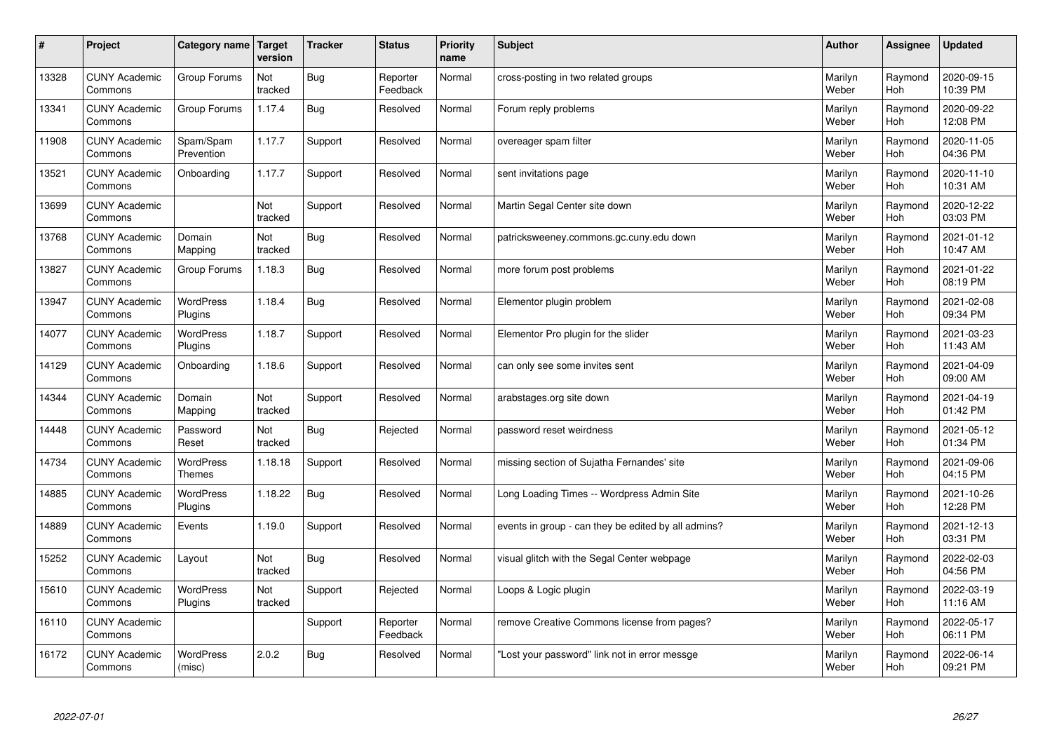| $\sharp$ | Project                         | Category name               | Target<br>version | <b>Tracker</b> | <b>Status</b>        | <b>Priority</b><br>name | <b>Subject</b>                                      | <b>Author</b>    | Assignee       | <b>Updated</b>         |
|----------|---------------------------------|-----------------------------|-------------------|----------------|----------------------|-------------------------|-----------------------------------------------------|------------------|----------------|------------------------|
| 13328    | <b>CUNY Academic</b><br>Commons | Group Forums                | Not<br>tracked    | <b>Bug</b>     | Reporter<br>Feedback | Normal                  | cross-posting in two related groups                 | Marilyn<br>Weber | Raymond<br>Hoh | 2020-09-15<br>10:39 PM |
| 13341    | <b>CUNY Academic</b><br>Commons | Group Forums                | 1.17.4            | Bug            | Resolved             | Normal                  | Forum reply problems                                | Marilyn<br>Weber | Raymond<br>Hoh | 2020-09-22<br>12:08 PM |
| 11908    | <b>CUNY Academic</b><br>Commons | Spam/Spam<br>Prevention     | 1.17.7            | Support        | Resolved             | Normal                  | overeager spam filter                               | Marilyn<br>Weber | Raymond<br>Hoh | 2020-11-05<br>04:36 PM |
| 13521    | <b>CUNY Academic</b><br>Commons | Onboarding                  | 1.17.7            | Support        | Resolved             | Normal                  | sent invitations page                               | Marilyn<br>Weber | Raymond<br>Hoh | 2020-11-10<br>10:31 AM |
| 13699    | <b>CUNY Academic</b><br>Commons |                             | Not<br>tracked    | Support        | Resolved             | Normal                  | Martin Segal Center site down                       | Marilyn<br>Weber | Raymond<br>Hoh | 2020-12-22<br>03:03 PM |
| 13768    | <b>CUNY Academic</b><br>Commons | Domain<br>Mapping           | Not<br>tracked    | <b>Bug</b>     | Resolved             | Normal                  | patricksweeney.commons.gc.cuny.edu down             | Marilyn<br>Weber | Raymond<br>Hoh | 2021-01-12<br>10:47 AM |
| 13827    | <b>CUNY Academic</b><br>Commons | Group Forums                | 1.18.3            | <b>Bug</b>     | Resolved             | Normal                  | more forum post problems                            | Marilyn<br>Weber | Raymond<br>Hoh | 2021-01-22<br>08:19 PM |
| 13947    | <b>CUNY Academic</b><br>Commons | WordPress<br>Plugins        | 1.18.4            | Bug            | Resolved             | Normal                  | Elementor plugin problem                            | Marilyn<br>Weber | Raymond<br>Hoh | 2021-02-08<br>09:34 PM |
| 14077    | <b>CUNY Academic</b><br>Commons | <b>WordPress</b><br>Plugins | 1.18.7            | Support        | Resolved             | Normal                  | Elementor Pro plugin for the slider                 | Marilyn<br>Weber | Raymond<br>Hoh | 2021-03-23<br>11:43 AM |
| 14129    | <b>CUNY Academic</b><br>Commons | Onboarding                  | 1.18.6            | Support        | Resolved             | Normal                  | can only see some invites sent                      | Marilyn<br>Weber | Raymond<br>Hoh | 2021-04-09<br>09:00 AM |
| 14344    | <b>CUNY Academic</b><br>Commons | Domain<br>Mapping           | Not<br>tracked    | Support        | Resolved             | Normal                  | arabstages.org site down                            | Marilyn<br>Weber | Raymond<br>Hoh | 2021-04-19<br>01:42 PM |
| 14448    | <b>CUNY Academic</b><br>Commons | Password<br>Reset           | Not<br>tracked    | <b>Bug</b>     | Rejected             | Normal                  | password reset weirdness                            | Marilyn<br>Weber | Raymond<br>Hoh | 2021-05-12<br>01:34 PM |
| 14734    | <b>CUNY Academic</b><br>Commons | WordPress<br><b>Themes</b>  | 1.18.18           | Support        | Resolved             | Normal                  | missing section of Sujatha Fernandes' site          | Marilyn<br>Weber | Raymond<br>Hoh | 2021-09-06<br>04:15 PM |
| 14885    | <b>CUNY Academic</b><br>Commons | WordPress<br>Plugins        | 1.18.22           | <b>Bug</b>     | Resolved             | Normal                  | Long Loading Times -- Wordpress Admin Site          | Marilyn<br>Weber | Raymond<br>Hoh | 2021-10-26<br>12:28 PM |
| 14889    | <b>CUNY Academic</b><br>Commons | Events                      | 1.19.0            | Support        | Resolved             | Normal                  | events in group - can they be edited by all admins? | Marilyn<br>Weber | Raymond<br>Hoh | 2021-12-13<br>03:31 PM |
| 15252    | <b>CUNY Academic</b><br>Commons | Layout                      | Not<br>tracked    | <b>Bug</b>     | Resolved             | Normal                  | visual glitch with the Segal Center webpage         | Marilyn<br>Weber | Raymond<br>Hoh | 2022-02-03<br>04:56 PM |
| 15610    | <b>CUNY Academic</b><br>Commons | WordPress<br>Plugins        | Not<br>tracked    | Support        | Rejected             | Normal                  | Loops & Logic plugin                                | Marilyn<br>Weber | Raymond<br>Hoh | 2022-03-19<br>11:16 AM |
| 16110    | <b>CUNY Academic</b><br>Commons |                             |                   | Support        | Reporter<br>Feedback | Normal                  | remove Creative Commons license from pages?         | Marilyn<br>Weber | Raymond<br>Hoh | 2022-05-17<br>06:11 PM |
| 16172    | <b>CUNY Academic</b><br>Commons | <b>WordPress</b><br>(misc)  | 2.0.2             | Bug            | Resolved             | Normal                  | 'Lost your password" link not in error messge       | Marilyn<br>Weber | Raymond<br>Hoh | 2022-06-14<br>09:21 PM |